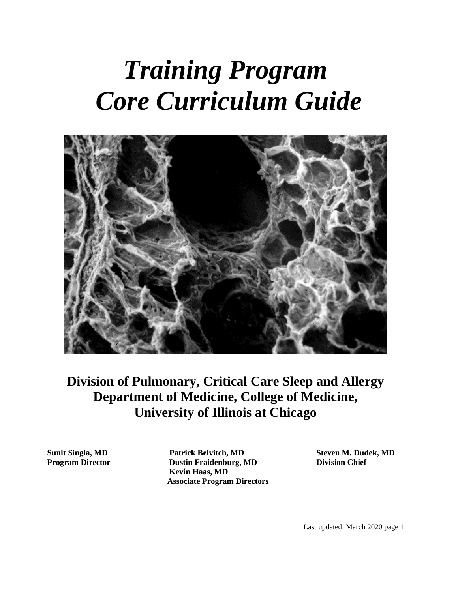# *Training Program Core Curriculum Guide*



## **Division of Pulmonary, Critical Care Sleep and Allergy Department of Medicine, College of Medicine, University of Illinois at Chicago**

**Sunit Singla, MD Patrick Belvitch, MD Steven M. Dudek, MD Program Director Dustin Fraidenburg, MD Division Chief Kevin Haas, MD Associate Program Directors**

Last updated: March 2020 page 1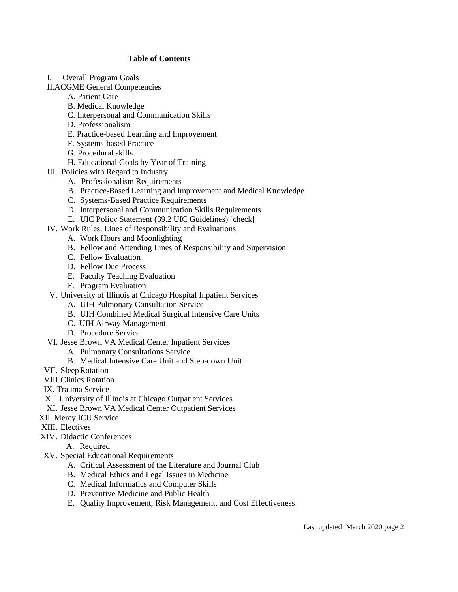## **Table of Contents**

- I. Overall Program Goals
- II.ACGME General Competencies
	- A. Patient Care
	- B. Medical Knowledge
	- C. Interpersonal and Communication Skills
	- D. Professionalism
	- E. Practice-based Learning and Improvement
	- F. Systems-based Practice
	- G. Procedural skills
	- H. Educational Goals by Year of Training
- III. Policies with Regard to Industry
	- A. Professionalism Requirements
	- B. Practice-Based Learning and Improvement and Medical Knowledge
	- C. Systems-Based Practice Requirements
	- D. Interpersonal and Communication Skills Requirements
	- E. UIC Policy Statement (39.2 UIC Guidelines) [check]
- IV. Work Rules, Lines of Responsibility and Evaluations
	- A. Work Hours and Moonlighting
	- B. Fellow and Attending Lines of Responsibility and Supervision
	- C. Fellow Evaluation
	- D. Fellow Due Process
	- E. Faculty Teaching Evaluation
	- F. Program Evaluation
- V. University of Illinois at Chicago Hospital Inpatient Services
	- A. UIH Pulmonary Consultation Service
	- B. UIH Combined Medical Surgical Intensive Care Units
	- C. UIH Airway Management
	- D. Procedure Service
- VI. Jesse Brown VA Medical Center Inpatient Services
	- A. Pulmonary Consultations Service
	- B. Medical Intensive Care Unit and Step-down Unit
- VII. SleepRotation
- VIII.Clinics Rotation
- IX. Trauma Service
- X. University of Illinois at Chicago Outpatient Services
- XI. Jesse Brown VA Medical Center Outpatient Services
- XII. Mercy ICU Service
- XIII. Electives
- XIV. Didactic Conferences

A. Required

- XV. Special Educational Requirements
	- A. Critical Assessment of the Literature and Journal Club
	- B. Medical Ethics and Legal Issues in Medicine
	- C. Medical Informatics and Computer Skills
	- D. Preventive Medicine and Public Health
	- E. Quality Improvement, Risk Management, and Cost Effectiveness

Last updated: March 2020 page 2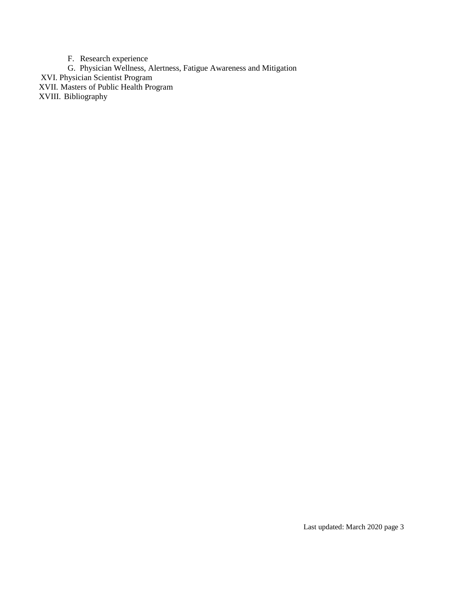F. Research experience G. Physician Wellness, Alertness, Fatigue Awareness and Mitigation XVI. Physician Scientist Program XVII. Masters of Public Health Program XVIII. Bibliography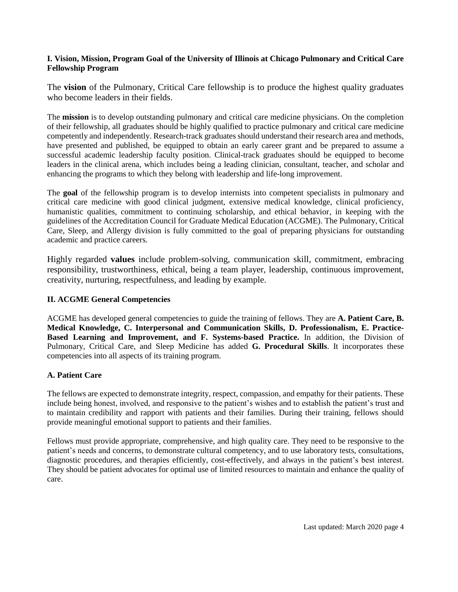## **I. Vision, Mission, Program Goal of the University of Illinois at Chicago Pulmonary and Critical Care Fellowship Program**

The **vision** of the Pulmonary, Critical Care fellowship is to produce the highest quality graduates who become leaders in their fields.

The **mission** is to develop outstanding pulmonary and critical care medicine physicians. On the completion of their fellowship, all graduates should be highly qualified to practice pulmonary and critical care medicine competently and independently. Research-track graduates should understand their research area and methods, have presented and published, be equipped to obtain an early career grant and be prepared to assume a successful academic leadership faculty position. Clinical-track graduates should be equipped to become leaders in the clinical arena, which includes being a leading clinician, consultant, teacher, and scholar and enhancing the programs to which they belong with leadership and life-long improvement.

The **goal** of the fellowship program is to develop internists into competent specialists in pulmonary and critical care medicine with good clinical judgment, extensive medical knowledge, clinical proficiency, humanistic qualities, commitment to continuing scholarship, and ethical behavior, in keeping with the guidelines of the Accreditation Council for Graduate Medical Education (ACGME). The Pulmonary, Critical Care, Sleep, and Allergy division is fully committed to the goal of preparing physicians for outstanding academic and practice careers.

Highly regarded **values** include problem-solving, communication skill, commitment, embracing responsibility, trustworthiness, ethical, being a team player, leadership, continuous improvement, creativity, nurturing, respectfulness, and leading by example.

## **II. ACGME General Competencies**

ACGME has developed general competencies to guide the training of fellows. They are **A. Patient Care, B. Medical Knowledge, C. Interpersonal and Communication Skills, D. Professionalism, E. Practice-Based Learning and Improvement, and F. Systems-based Practice.** In addition, the Division of Pulmonary, Critical Care, and Sleep Medicine has added **G. Procedural Skills**. It incorporates these competencies into all aspects of its training program.

## **A. Patient Care**

The fellows are expected to demonstrate integrity, respect, compassion, and empathy for their patients. These include being honest, involved, and responsive to the patient's wishes and to establish the patient's trust and to maintain credibility and rapport with patients and their families. During their training, fellows should provide meaningful emotional support to patients and their families.

Fellows must provide appropriate, comprehensive, and high quality care. They need to be responsive to the patient's needs and concerns, to demonstrate cultural competency, and to use laboratory tests, consultations, diagnostic procedures, and therapies efficiently, cost-effectively, and always in the patient's best interest. They should be patient advocates for optimal use of limited resources to maintain and enhance the quality of care.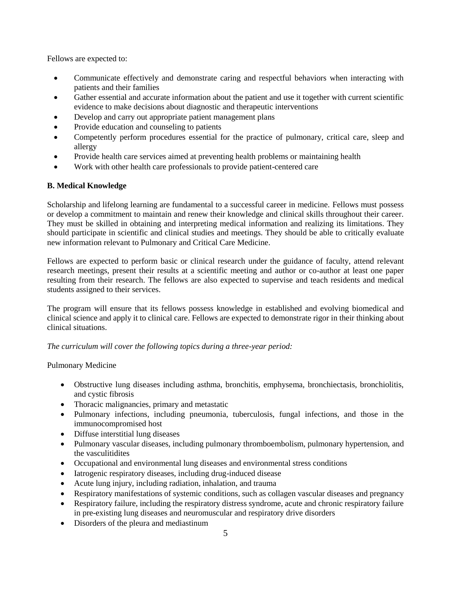Fellows are expected to:

- Communicate effectively and demonstrate caring and respectful behaviors when interacting with patients and their families
- Gather essential and accurate information about the patient and use it together with current scientific evidence to make decisions about diagnostic and therapeutic interventions
- Develop and carry out appropriate patient management plans
- Provide education and counseling to patients
- Competently perform procedures essential for the practice of pulmonary, critical care, sleep and allergy
- Provide health care services aimed at preventing health problems or maintaining health
- Work with other health care professionals to provide patient-centered care

## **B. Medical Knowledge**

Scholarship and lifelong learning are fundamental to a successful career in medicine. Fellows must possess or develop a commitment to maintain and renew their knowledge and clinical skills throughout their career. They must be skilled in obtaining and interpreting medical information and realizing its limitations. They should participate in scientific and clinical studies and meetings. They should be able to critically evaluate new information relevant to Pulmonary and Critical Care Medicine.

Fellows are expected to perform basic or clinical research under the guidance of faculty, attend relevant research meetings, present their results at a scientific meeting and author or co-author at least one paper resulting from their research. The fellows are also expected to supervise and teach residents and medical students assigned to their services.

The program will ensure that its fellows possess knowledge in established and evolving biomedical and clinical science and apply it to clinical care. Fellows are expected to demonstrate rigor in their thinking about clinical situations.

*The curriculum will cover the following topics during a three-year period:*

## Pulmonary Medicine

- Obstructive lung diseases including asthma, bronchitis, emphysema, bronchiectasis, bronchiolitis, and cystic fibrosis
- Thoracic malignancies, primary and metastatic
- Pulmonary infections, including pneumonia, tuberculosis, fungal infections, and those in the immunocompromised host
- Diffuse interstitial lung diseases
- Pulmonary vascular diseases, including pulmonary thromboembolism, pulmonary hypertension, and the vasculitidites
- Occupational and environmental lung diseases and environmental stress conditions
- Iatrogenic respiratory diseases, including drug-induced disease
- Acute lung injury, including radiation, inhalation, and trauma
- Respiratory manifestations of systemic conditions, such as collagen vascular diseases and pregnancy
- Respiratory failure, including the respiratory distress syndrome, acute and chronic respiratory failure in pre-existing lung diseases and neuromuscular and respiratory drive disorders
- Disorders of the pleura and mediastinum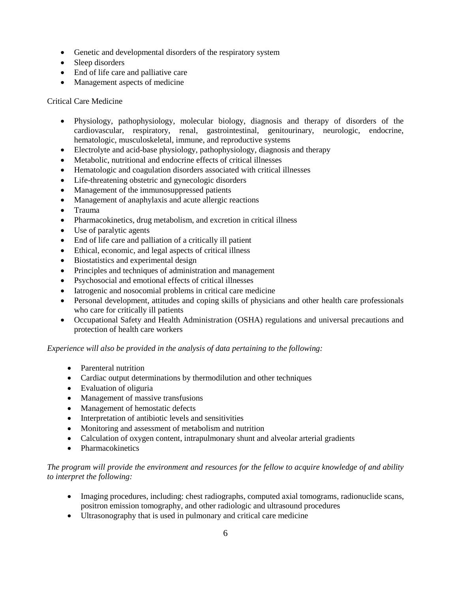- Genetic and developmental disorders of the respiratory system
- Sleep disorders
- End of life care and palliative care
- Management aspects of medicine

## Critical Care Medicine

- Physiology, pathophysiology, molecular biology, diagnosis and therapy of disorders of the cardiovascular, respiratory, renal, gastrointestinal, genitourinary, neurologic, endocrine, hematologic, musculoskeletal, immune, and reproductive systems
- Electrolyte and acid-base physiology, pathophysiology, diagnosis and therapy
- Metabolic, nutritional and endocrine effects of critical illnesses
- Hematologic and coagulation disorders associated with critical illnesses
- Life-threatening obstetric and gynecologic disorders
- Management of the immunosuppressed patients
- Management of anaphylaxis and acute allergic reactions
- Trauma
- Pharmacokinetics, drug metabolism, and excretion in critical illness
- Use of paralytic agents
- End of life care and palliation of a critically ill patient
- Ethical, economic, and legal aspects of critical illness
- Biostatistics and experimental design
- Principles and techniques of administration and management
- Psychosocial and emotional effects of critical illnesses
- Iatrogenic and nosocomial problems in critical care medicine
- Personal development, attitudes and coping skills of physicians and other health care professionals who care for critically ill patients
- Occupational Safety and Health Administration (OSHA) regulations and universal precautions and protection of health care workers

## *Experience will also be provided in the analysis of data pertaining to the following:*

- Parenteral nutrition
- Cardiac output determinations by thermodilution and other techniques
- Evaluation of oliguria
- Management of massive transfusions
- Management of hemostatic defects
- Interpretation of antibiotic levels and sensitivities
- Monitoring and assessment of metabolism and nutrition
- Calculation of oxygen content, intrapulmonary shunt and alveolar arterial gradients
- Pharmacokinetics

## *The program will provide the environment and resources for the fellow to acquire knowledge of and ability to interpret the following:*

- Imaging procedures, including: chest radiographs, computed axial tomograms, radionuclide scans, positron emission tomography, and other radiologic and ultrasound procedures
- Ultrasonography that is used in pulmonary and critical care medicine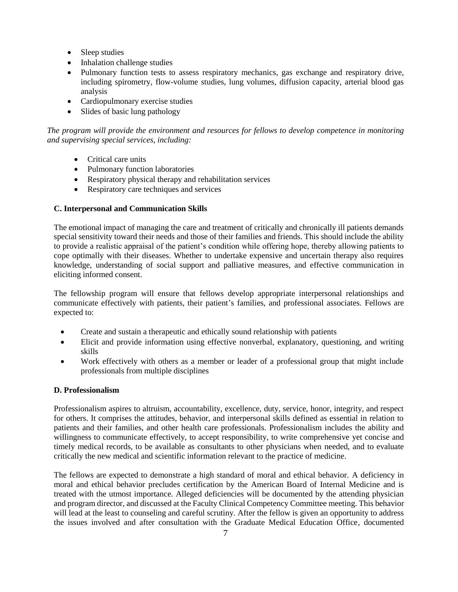- Sleep studies
- Inhalation challenge studies
- Pulmonary function tests to assess respiratory mechanics, gas exchange and respiratory drive, including spirometry, flow-volume studies, lung volumes, diffusion capacity, arterial blood gas analysis
- Cardiopulmonary exercise studies
- Slides of basic lung pathology

*The program will provide the environment and resources for fellows to develop competence in monitoring and supervising special services, including:*

- Critical care units
- Pulmonary function laboratories
- Respiratory physical therapy and rehabilitation services
- Respiratory care techniques and services

## **C. Interpersonal and Communication Skills**

The emotional impact of managing the care and treatment of critically and chronically ill patients demands special sensitivity toward their needs and those of their families and friends. This should include the ability to provide a realistic appraisal of the patient's condition while offering hope, thereby allowing patients to cope optimally with their diseases. Whether to undertake expensive and uncertain therapy also requires knowledge, understanding of social support and palliative measures, and effective communication in eliciting informed consent.

The fellowship program will ensure that fellows develop appropriate interpersonal relationships and communicate effectively with patients, their patient's families, and professional associates. Fellows are expected to:

- Create and sustain a therapeutic and ethically sound relationship with patients
- Elicit and provide information using effective nonverbal, explanatory, questioning, and writing skills
- Work effectively with others as a member or leader of a professional group that might include professionals from multiple disciplines

## **D. Professionalism**

Professionalism aspires to altruism, accountability, excellence, duty, service, honor, integrity, and respect for others. It comprises the attitudes, behavior, and interpersonal skills defined as essential in relation to patients and their families, and other health care professionals. Professionalism includes the ability and willingness to communicate effectively, to accept responsibility, to write comprehensive yet concise and timely medical records, to be available as consultants to other physicians when needed, and to evaluate critically the new medical and scientific information relevant to the practice of medicine.

The fellows are expected to demonstrate a high standard of moral and ethical behavior. A deficiency in moral and ethical behavior precludes certification by the American Board of Internal Medicine and is treated with the utmost importance. Alleged deficiencies will be documented by the attending physician and program director, and discussed at the Faculty Clinical Competency Committee meeting. This behavior will lead at the least to counseling and careful scrutiny. After the fellow is given an opportunity to address the issues involved and after consultation with the Graduate Medical Education Office, documented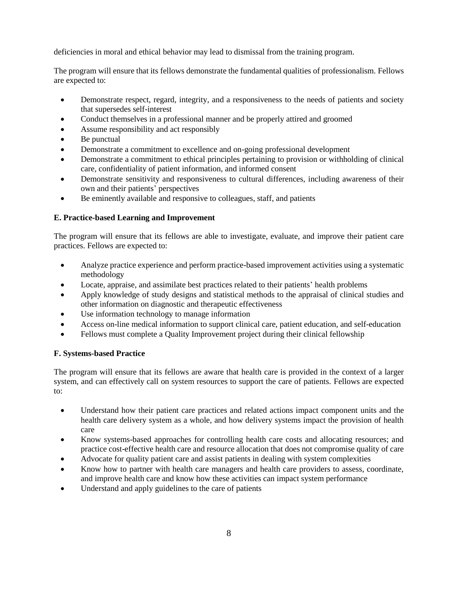deficiencies in moral and ethical behavior may lead to dismissal from the training program.

The program will ensure that its fellows demonstrate the fundamental qualities of professionalism. Fellows are expected to:

- Demonstrate respect, regard, integrity, and a responsiveness to the needs of patients and society that supersedes self-interest
- Conduct themselves in a professional manner and be properly attired and groomed
- Assume responsibility and act responsibly
- Be punctual
- Demonstrate a commitment to excellence and on-going professional development
- Demonstrate a commitment to ethical principles pertaining to provision or withholding of clinical care, confidentiality of patient information, and informed consent
- Demonstrate sensitivity and responsiveness to cultural differences, including awareness of their own and their patients' perspectives
- Be eminently available and responsive to colleagues, staff, and patients

## **E. Practice-based Learning and Improvement**

The program will ensure that its fellows are able to investigate, evaluate, and improve their patient care practices. Fellows are expected to:

- Analyze practice experience and perform practice-based improvement activities using a systematic methodology
- Locate, appraise, and assimilate best practices related to their patients' health problems
- Apply knowledge of study designs and statistical methods to the appraisal of clinical studies and other information on diagnostic and therapeutic effectiveness
- Use information technology to manage information
- Access on-line medical information to support clinical care, patient education, and self-education
- Fellows must complete a Quality Improvement project during their clinical fellowship

## **F. Systems-based Practice**

The program will ensure that its fellows are aware that health care is provided in the context of a larger system, and can effectively call on system resources to support the care of patients. Fellows are expected to:

- Understand how their patient care practices and related actions impact component units and the health care delivery system as a whole, and how delivery systems impact the provision of health care
- Know systems-based approaches for controlling health care costs and allocating resources; and practice cost-effective health care and resource allocation that does not compromise quality of care
- Advocate for quality patient care and assist patients in dealing with system complexities
- Know how to partner with health care managers and health care providers to assess, coordinate, and improve health care and know how these activities can impact system performance
- Understand and apply guidelines to the care of patients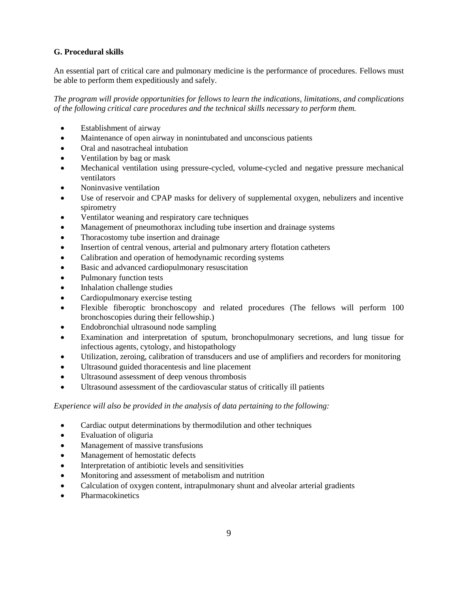## **G. Procedural skills**

An essential part of critical care and pulmonary medicine is the performance of procedures. Fellows must be able to perform them expeditiously and safely.

*The program will provide opportunities for fellows to learn the indications, limitations, and complications of the following critical care procedures and the technical skills necessary to perform them.*

- Establishment of airway
- Maintenance of open airway in nonintubated and unconscious patients
- Oral and nasotracheal intubation
- Ventilation by bag or mask
- Mechanical ventilation using pressure-cycled, volume-cycled and negative pressure mechanical ventilators
- Noninvasive ventilation
- Use of reservoir and CPAP masks for delivery of supplemental oxygen, nebulizers and incentive spirometry
- Ventilator weaning and respiratory care techniques
- Management of pneumothorax including tube insertion and drainage systems
- Thoracostomy tube insertion and drainage
- Insertion of central venous, arterial and pulmonary artery flotation catheters
- Calibration and operation of hemodynamic recording systems
- Basic and advanced cardiopulmonary resuscitation
- Pulmonary function tests
- Inhalation challenge studies
- Cardiopulmonary exercise testing
- Flexible fiberoptic bronchoscopy and related procedures (The fellows will perform 100 bronchoscopies during their fellowship.)
- Endobronchial ultrasound node sampling
- Examination and interpretation of sputum, bronchopulmonary secretions, and lung tissue for infectious agents, cytology, and histopathology
- Utilization, zeroing, calibration of transducers and use of amplifiers and recorders for monitoring
- Ultrasound guided thoracentesis and line placement
- Ultrasound assessment of deep venous thrombosis
- Ultrasound assessment of the cardiovascular status of critically ill patients

## *Experience will also be provided in the analysis of data pertaining to the following:*

- Cardiac output determinations by thermodilution and other techniques
- Evaluation of oliguria
- Management of massive transfusions
- Management of hemostatic defects
- Interpretation of antibiotic levels and sensitivities
- Monitoring and assessment of metabolism and nutrition
- Calculation of oxygen content, intrapulmonary shunt and alveolar arterial gradients
- Pharmacokinetics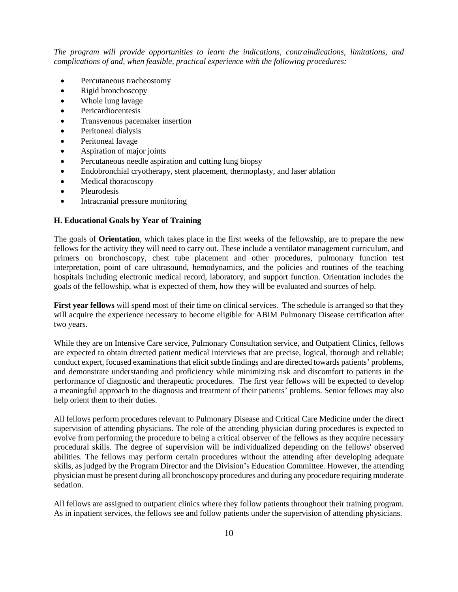*The program will provide opportunities to learn the indications, contraindications, limitations, and complications of and, when feasible, practical experience with the following procedures:*

- Percutaneous tracheostomy
- Rigid bronchoscopy
- Whole lung lavage
- Pericardiocentesis
- Transvenous pacemaker insertion
- Peritoneal dialysis
- Peritoneal lavage
- Aspiration of major joints
- Percutaneous needle aspiration and cutting lung biopsy
- Endobronchial cryotherapy, stent placement, thermoplasty, and laser ablation
- Medical thoracoscopy
- Pleurodesis
- Intracranial pressure monitoring

#### **H. Educational Goals by Year of Training**

The goals of **Orientation**, which takes place in the first weeks of the fellowship, are to prepare the new fellows for the activity they will need to carry out. These include a ventilator management curriculum, and primers on bronchoscopy, chest tube placement and other procedures, pulmonary function test interpretation, point of care ultrasound, hemodynamics, and the policies and routines of the teaching hospitals including electronic medical record, laboratory, and support function. Orientation includes the goals of the fellowship, what is expected of them, how they will be evaluated and sources of help.

**First year fellows** will spend most of their time on clinical services. The schedule is arranged so that they will acquire the experience necessary to become eligible for ABIM Pulmonary Disease certification after two years.

While they are on Intensive Care service, Pulmonary Consultation service, and Outpatient Clinics, fellows are expected to obtain directed patient medical interviews that are precise, logical, thorough and reliable; conduct expert, focused examinations that elicit subtle findings and are directed towards patients' problems, and demonstrate understanding and proficiency while minimizing risk and discomfort to patients in the performance of diagnostic and therapeutic procedures. The first year fellows will be expected to develop a meaningful approach to the diagnosis and treatment of their patients' problems. Senior fellows may also help orient them to their duties.

All fellows perform procedures relevant to Pulmonary Disease and Critical Care Medicine under the direct supervision of attending physicians. The role of the attending physician during procedures is expected to evolve from performing the procedure to being a critical observer of the fellows as they acquire necessary procedural skills. The degree of supervision will be individualized depending on the fellows' observed abilities. The fellows may perform certain procedures without the attending after developing adequate skills, as judged by the Program Director and the Division's Education Committee. However, the attending physician must be present during all bronchoscopy procedures and during any procedure requiring moderate sedation.

All fellows are assigned to outpatient clinics where they follow patients throughout their training program. As in inpatient services, the fellows see and follow patients under the supervision of attending physicians.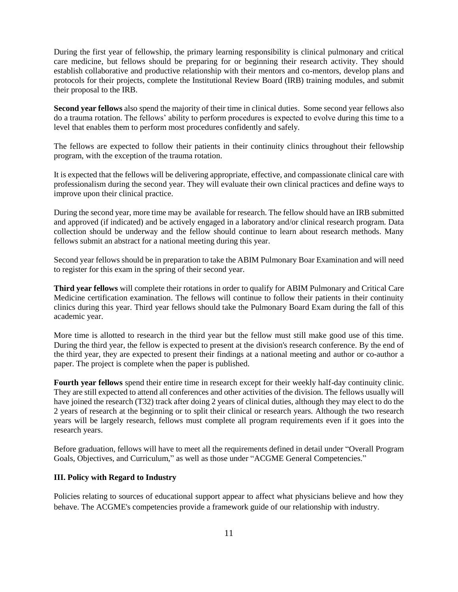During the first year of fellowship, the primary learning responsibility is clinical pulmonary and critical care medicine, but fellows should be preparing for or beginning their research activity. They should establish collaborative and productive relationship with their mentors and co-mentors, develop plans and protocols for their projects, complete the Institutional Review Board (IRB) training modules, and submit their proposal to the IRB.

**Second year fellows** also spend the majority of their time in clinical duties. Some second year fellows also do a trauma rotation. The fellows' ability to perform procedures is expected to evolve during this time to a level that enables them to perform most procedures confidently and safely.

The fellows are expected to follow their patients in their continuity clinics throughout their fellowship program, with the exception of the trauma rotation.

It is expected that the fellows will be delivering appropriate, effective, and compassionate clinical care with professionalism during the second year. They will evaluate their own clinical practices and define ways to improve upon their clinical practice.

During the second year, more time may be available for research. The fellow should have an IRB submitted and approved (if indicated) and be actively engaged in a laboratory and/or clinical research program. Data collection should be underway and the fellow should continue to learn about research methods. Many fellows submit an abstract for a national meeting during this year.

Second year fellows should be in preparation to take the ABIM Pulmonary Boar Examination and will need to register for this exam in the spring of their second year.

**Third year fellows** will complete their rotations in order to qualify for ABIM Pulmonary and Critical Care Medicine certification examination. The fellows will continue to follow their patients in their continuity clinics during this year. Third year fellows should take the Pulmonary Board Exam during the fall of this academic year.

More time is allotted to research in the third year but the fellow must still make good use of this time. During the third year, the fellow is expected to present at the division's research conference. By the end of the third year, they are expected to present their findings at a national meeting and author or co-author a paper. The project is complete when the paper is published.

**Fourth year fellows** spend their entire time in research except for their weekly half-day continuity clinic. They are still expected to attend all conferences and other activities of the division. The fellows usually will have joined the research (T32) track after doing 2 years of clinical duties, although they may elect to do the 2 years of research at the beginning or to split their clinical or research years. Although the two research years will be largely research, fellows must complete all program requirements even if it goes into the research years.

Before graduation, fellows will have to meet all the requirements defined in detail under "Overall Program Goals, Objectives, and Curriculum," as well as those under "ACGME General Competencies."

## **III. Policy with Regard to Industry**

Policies relating to sources of educational support appear to affect what physicians believe and how they behave. The ACGME's competencies provide a framework guide of our relationship with industry.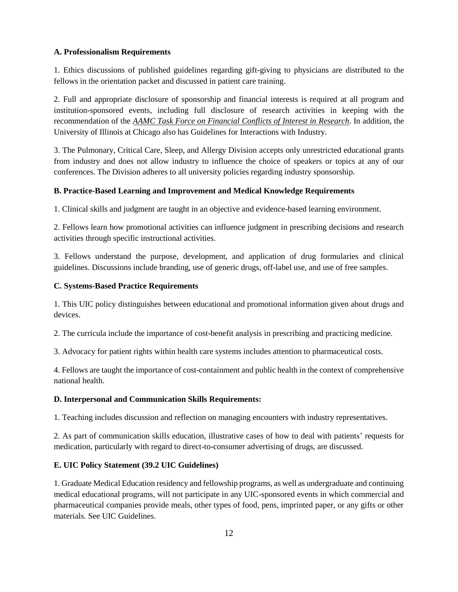## **A. Professionalism Requirements**

1. Ethics discussions of published guidelines regarding gift-giving to physicians are distributed to the fellows in the orientation packet and discussed in patient care training.

2. Full and appropriate disclosure of sponsorship and financial interests is required at all program and institution-sponsored events, including full disclosure of research activities in keeping with the recommendation of the *AAMC Task Force on Financial Conflicts of Interest in Research*. In addition, the University of Illinois at Chicago also has Guidelines for Interactions with Industry.

3. The Pulmonary, Critical Care, Sleep, and Allergy Division accepts only unrestricted educational grants from industry and does not allow industry to influence the choice of speakers or topics at any of our conferences. The Division adheres to all university policies regarding industry sponsorship.

## **B. Practice-Based Learning and Improvement and Medical Knowledge Requirements**

1. Clinical skills and judgment are taught in an objective and evidence-based learning environment.

2. Fellows learn how promotional activities can influence judgment in prescribing decisions and research activities through specific instructional activities.

3. Fellows understand the purpose, development, and application of drug formularies and clinical guidelines. Discussions include branding, use of generic drugs, off-label use, and use of free samples.

## **C. Systems-Based Practice Requirements**

1. This UIC policy distinguishes between educational and promotional information given about drugs and devices.

2. The curricula include the importance of cost-benefit analysis in prescribing and practicing medicine.

3. Advocacy for patient rights within health care systems includes attention to pharmaceutical costs.

4. Fellows are taught the importance of cost-containment and public health in the context of comprehensive national health.

## **D. Interpersonal and Communication Skills Requirements:**

1. Teaching includes discussion and reflection on managing encounters with industry representatives.

2. As part of communication skills education, illustrative cases of how to deal with patients' requests for medication, particularly with regard to direct-to-consumer advertising of drugs, are discussed.

## **E. UIC Policy Statement (39.2 UIC Guidelines)**

1. Graduate Medical Education residency and fellowship programs, as well as undergraduate and continuing medical educational programs, will not participate in any UIC-sponsored events in which commercial and pharmaceutical companies provide meals, other types of food, pens, imprinted paper, or any gifts or other materials. See UIC Guidelines.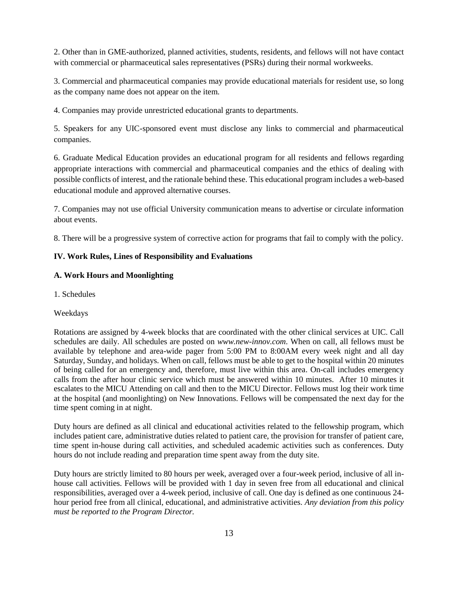2. Other than in GME-authorized, planned activities, students, residents, and fellows will not have contact with commercial or pharmaceutical sales representatives (PSRs) during their normal workweeks.

3. Commercial and pharmaceutical companies may provide educational materials for resident use, so long as the company name does not appear on the item.

4. Companies may provide unrestricted educational grants to departments.

5. Speakers for any UIC-sponsored event must disclose any links to commercial and pharmaceutical companies.

6. Graduate Medical Education provides an educational program for all residents and fellows regarding appropriate interactions with commercial and pharmaceutical companies and the ethics of dealing with possible conflicts of interest, and the rationale behind these. This educational program includes a web-based educational module and approved alternative courses.

7. Companies may not use official University communication means to advertise or circulate information about events.

8. There will be a progressive system of corrective action for programs that fail to comply with the policy.

#### **IV. Work Rules, Lines of Responsibility and Evaluations**

## **A. Work Hours and Moonlighting**

1. Schedules

#### Weekdays

Rotations are assigned by 4-week blocks that are coordinated with the other clinical services at UIC. Call schedules are daily. All schedules are posted on *www.new-innov.com*. When on call, all fellows must be available by telephone and area-wide pager from 5:00 PM to 8:00AM every week night and all day Saturday, Sunday, and holidays. When on call, fellows must be able to get to the hospital within 20 minutes of being called for an emergency and, therefore, must live within this area. On-call includes emergency calls from the after hour clinic service which must be answered within 10 minutes. After 10 minutes it escalates to the MICU Attending on call and then to the MICU Director. Fellows must log their work time at the hospital (and moonlighting) on New Innovations. Fellows will be compensated the next day for the time spent coming in at night.

Duty hours are defined as all clinical and educational activities related to the fellowship program, which includes patient care, administrative duties related to patient care, the provision for transfer of patient care, time spent in-house during call activities, and scheduled academic activities such as conferences. Duty hours do not include reading and preparation time spent away from the duty site.

Duty hours are strictly limited to 80 hours per week, averaged over a four-week period, inclusive of all inhouse call activities. Fellows will be provided with 1 day in seven free from all educational and clinical responsibilities, averaged over a 4-week period, inclusive of call. One day is defined as one continuous 24 hour period free from all clinical, educational, and administrative activities. *Any deviation from this policy must be reported to the Program Director.*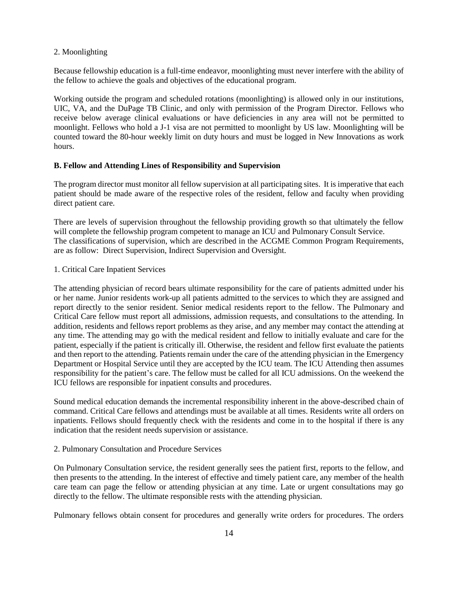#### 2. Moonlighting

Because fellowship education is a full-time endeavor, moonlighting must never interfere with the ability of the fellow to achieve the goals and objectives of the educational program.

Working outside the program and scheduled rotations (moonlighting) is allowed only in our institutions, UIC, VA, and the DuPage TB Clinic, and only with permission of the Program Director. Fellows who receive below average clinical evaluations or have deficiencies in any area will not be permitted to moonlight. Fellows who hold a J-1 visa are not permitted to moonlight by US law. Moonlighting will be counted toward the 80-hour weekly limit on duty hours and must be logged in New Innovations as work hours.

## **B. Fellow and Attending Lines of Responsibility and Supervision**

The program director must monitor all fellow supervision at all participating sites. It is imperative that each patient should be made aware of the respective roles of the resident, fellow and faculty when providing direct patient care.

There are levels of supervision throughout the fellowship providing growth so that ultimately the fellow will complete the fellowship program competent to manage an ICU and Pulmonary Consult Service. The classifications of supervision, which are described in the ACGME Common Program Requirements, are as follow: Direct Supervision, Indirect Supervision and Oversight.

## 1. Critical Care Inpatient Services

The attending physician of record bears ultimate responsibility for the care of patients admitted under his or her name. Junior residents work-up all patients admitted to the services to which they are assigned and report directly to the senior resident. Senior medical residents report to the fellow. The Pulmonary and Critical Care fellow must report all admissions, admission requests, and consultations to the attending. In addition, residents and fellows report problems as they arise, and any member may contact the attending at any time. The attending may go with the medical resident and fellow to initially evaluate and care for the patient, especially if the patient is critically ill. Otherwise, the resident and fellow first evaluate the patients and then report to the attending. Patients remain under the care of the attending physician in the Emergency Department or Hospital Service until they are accepted by the ICU team. The ICU Attending then assumes responsibility for the patient's care. The fellow must be called for all ICU admissions. On the weekend the ICU fellows are responsible for inpatient consults and procedures.

Sound medical education demands the incremental responsibility inherent in the above-described chain of command. Critical Care fellows and attendings must be available at all times. Residents write all orders on inpatients. Fellows should frequently check with the residents and come in to the hospital if there is any indication that the resident needs supervision or assistance.

#### 2. Pulmonary Consultation and Procedure Services

On Pulmonary Consultation service, the resident generally sees the patient first, reports to the fellow, and then presents to the attending. In the interest of effective and timely patient care, any member of the health care team can page the fellow or attending physician at any time. Late or urgent consultations may go directly to the fellow. The ultimate responsible rests with the attending physician.

Pulmonary fellows obtain consent for procedures and generally write orders for procedures. The orders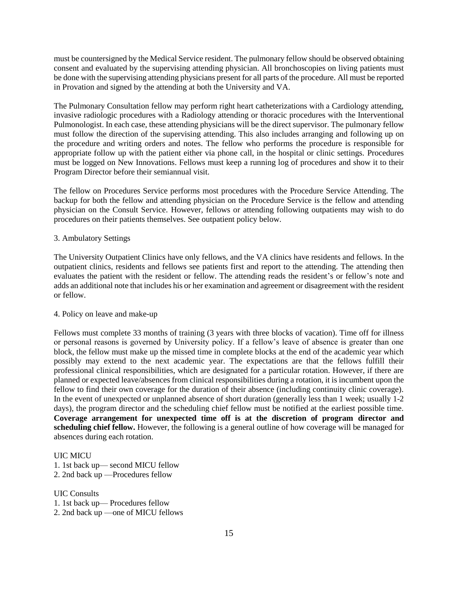must be countersigned by the Medical Service resident. The pulmonary fellow should be observed obtaining consent and evaluated by the supervising attending physician. All bronchoscopies on living patients must be done with the supervising attending physicians present for all parts of the procedure. All must be reported in Provation and signed by the attending at both the University and VA.

The Pulmonary Consultation fellow may perform right heart catheterizations with a Cardiology attending, invasive radiologic procedures with a Radiology attending or thoracic procedures with the Interventional Pulmonologist. In each case, these attending physicians will be the direct supervisor. The pulmonary fellow must follow the direction of the supervising attending. This also includes arranging and following up on the procedure and writing orders and notes. The fellow who performs the procedure is responsible for appropriate follow up with the patient either via phone call, in the hospital or clinic settings. Procedures must be logged on New Innovations. Fellows must keep a running log of procedures and show it to their Program Director before their semiannual visit.

The fellow on Procedures Service performs most procedures with the Procedure Service Attending. The backup for both the fellow and attending physician on the Procedure Service is the fellow and attending physician on the Consult Service. However, fellows or attending following outpatients may wish to do procedures on their patients themselves. See outpatient policy below.

## 3. Ambulatory Settings

The University Outpatient Clinics have only fellows, and the VA clinics have residents and fellows. In the outpatient clinics, residents and fellows see patients first and report to the attending. The attending then evaluates the patient with the resident or fellow. The attending reads the resident's or fellow's note and adds an additional note that includes his or her examination and agreement or disagreement with the resident or fellow.

#### 4. Policy on leave and make-up

Fellows must complete 33 months of training (3 years with three blocks of vacation). Time off for illness or personal reasons is governed by University policy. If a fellow's leave of absence is greater than one block, the fellow must make up the missed time in complete blocks at the end of the academic year which possibly may extend to the next academic year. The expectations are that the fellows fulfill their professional clinical responsibilities, which are designated for a particular rotation. However, if there are planned or expected leave/absences from clinical responsibilities during a rotation, it is incumbent upon the fellow to find their own coverage for the duration of their absence (including continuity clinic coverage). In the event of unexpected or unplanned absence of short duration (generally less than 1 week; usually 1-2 days), the program director and the scheduling chief fellow must be notified at the earliest possible time. **Coverage arrangement for unexpected time off is at the discretion of program director and scheduling chief fellow.** However, the following is a general outline of how coverage will be managed for absences during each rotation.

#### UIC MICU

- 1. 1st back up— second MICU fellow
- 2. 2nd back up —Procedures fellow

UIC Consults

- 1. 1st back up— Procedures fellow
- 2. 2nd back up —one of MICU fellows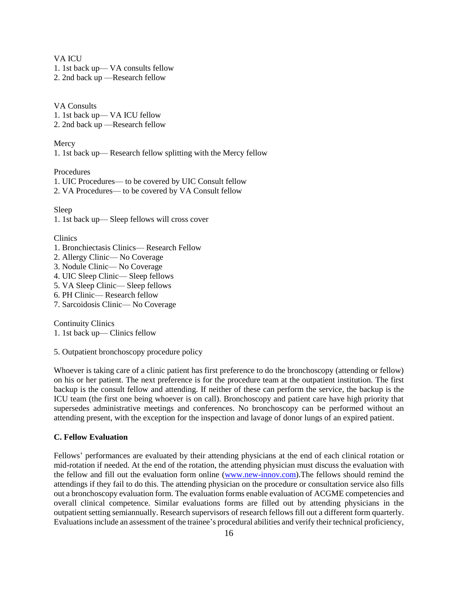VA **ICU** 

- 1. 1st back up— VA consults fellow
- 2. 2nd back up —Research fellow

VA Consults 1. 1st back up— VA ICU fellow

2. 2nd back up —Research fellow

#### Mercy

1. 1st back up— Research fellow splitting with the Mercy fellow

Procedures

- 1. UIC Procedures— to be covered by UIC Consult fellow
- 2. VA Procedures— to be covered by VA Consult fellow

Sleep

1. 1st back up— Sleep fellows will cross cover

#### Clinics

- 1. Bronchiectasis Clinics— Research Fellow
- 2. Allergy Clinic— No Coverage
- 3. Nodule Clinic— No Coverage
- 4. UIC Sleep Clinic— Sleep fellows
- 5. VA Sleep Clinic— Sleep fellows
- 6. PH Clinic— Research fellow
- 7. Sarcoidosis Clinic— No Coverage

Continuity Clinics

1. 1st back up— Clinics fellow

5. Outpatient bronchoscopy procedure policy

Whoever is taking care of a clinic patient has first preference to do the bronchoscopy (attending or fellow) on his or her patient. The next preference is for the procedure team at the outpatient institution. The first backup is the consult fellow and attending. If neither of these can perform the service, the backup is the ICU team (the first one being whoever is on call). Bronchoscopy and patient care have high priority that supersedes administrative meetings and conferences. No bronchoscopy can be performed without an attending present, with the exception for the inspection and lavage of donor lungs of an expired patient.

## **C. Fellow Evaluation**

Fellows' performances are evaluated by their attending physicians at the end of each clinical rotation or mid-rotation if needed. At the end of the rotation, the attending physician must discuss the evaluation with the fellow and fill out the evaluation form online [\(www.new-innov.com\)](http://www.new-innov.com/).The fellows should remind the attendings if they fail to do this. The attending physician on the procedure or consultation service also fills out a bronchoscopy evaluation form. The evaluation forms enable evaluation of ACGME competencies and overall clinical competence. Similar evaluations forms are filled out by attending physicians in the outpatient setting semiannually. Research supervisors of research fellows fill out a different form quarterly. Evaluations include an assessment of the trainee's procedural abilities and verify their technical proficiency,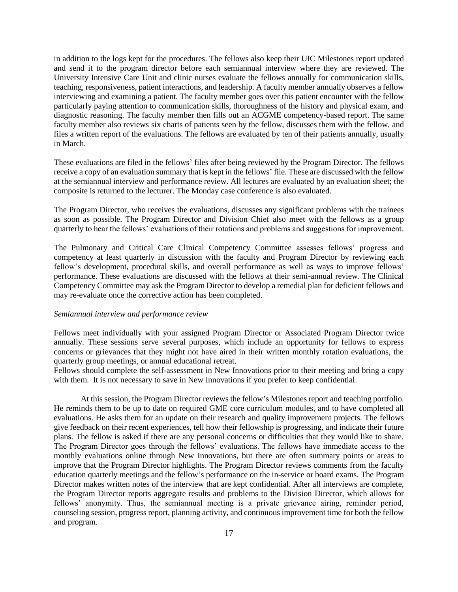in addition to the logs kept for the procedures. The fellows also keep their UIC Milestones report updated and send it to the program director before each semiannual interview where they are reviewed. The University Intensive Care Unit and clinic nurses evaluate the fellows annually for communication skills, teaching, responsiveness, patient interactions, and leadership. A faculty member annually observes a fellow interviewing and examining a patient. The faculty member goes over this patient encounter with the fellow particularly paying attention to communication skills, thoroughness of the history and physical exam, and diagnostic reasoning. The faculty member then fills out an ACGME competency-based report. The same faculty member also reviews six charts of patients seen by the fellow, discusses them with the fellow, and files a written report of the evaluations. The fellows are evaluated by ten of their patients annually, usually in March.

These evaluations are filed in the fellows' files after being reviewed by the Program Director. The fellows receive a copy of an evaluation summary that is kept in the fellows' file. These are discussed with the fellow at the semiannual interview and performance review. All lectures are evaluated by an evaluation sheet; the composite is returned to the lecturer. The Monday case conference is also evaluated.

The Program Director, who receives the evaluations, discusses any significant problems with the trainees as soon as possible. The Program Director and Division Chief also meet with the fellows as a group quarterly to hear the fellows' evaluations of their rotations and problems and suggestions for improvement.

The Pulmonary and Critical Care Clinical Competency Committee assesses fellows' progress and competency at least quarterly in discussion with the faculty and Program Director by reviewing each fellow's development, procedural skills, and overall performance as well as ways to improve fellows' performance. These evaluations are discussed with the fellows at their semi-annual review. The Clinical Competency Committee may ask the Program Director to develop a remedial plan for deficient fellows and may re-evaluate once the corrective action has been completed.

#### *Semiannual interview and performance review*

Fellows meet individually with your assigned Program Director or Associated Program Director twice annually. These sessions serve several purposes, which include an opportunity for fellows to express concerns or grievances that they might not have aired in their written monthly rotation evaluations, the quarterly group meetings, or annual educational retreat.

Fellows should complete the self-assessment in New Innovations prior to their meeting and bring a copy with them. It is not necessary to save in New Innovations if you prefer to keep confidential.

At this session, the Program Director reviews the fellow's Milestones report and teaching portfolio. He reminds them to be up to date on required GME core curriculum modules, and to have completed all evaluations. He asks them for an update on their research and quality improvement projects. The fellows give feedback on their recent experiences, tell how their fellowship is progressing, and indicate their future plans. The fellow is asked if there are any personal concerns or difficulties that they would like to share. The Program Director goes through the fellows' evaluations. The fellows have immediate access to the monthly evaluations online through New Innovations, but there are often summary points or areas to improve that the Program Director highlights. The Program Director reviews comments from the faculty education quarterly meetings and the fellow's performance on the in-service or board exams. The Program Director makes written notes of the interview that are kept confidential. After all interviews are complete, the Program Director reports aggregate results and problems to the Division Director, which allows for fellows' anonymity. Thus, the semiannual meeting is a private grievance airing, reminder period, counseling session, progress report, planning activity, and continuous improvement time for both the fellow and program.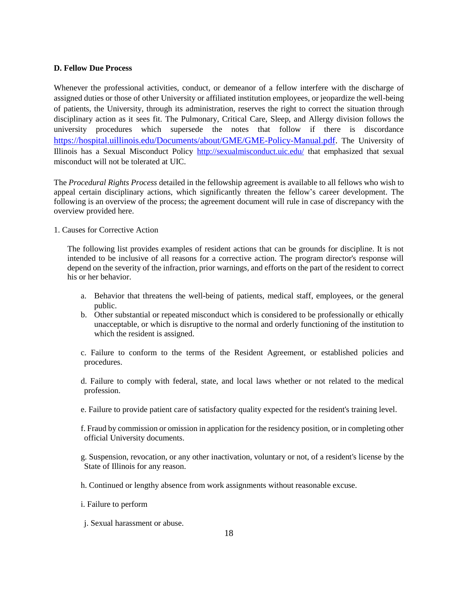## **D. Fellow Due Process**

Whenever the professional activities, conduct, or demeanor of a fellow interfere with the discharge of assigned duties or those of other University or affiliated institution employees, or jeopardize the well-being of patients, the University, through its administration, reserves the right to correct the situation through disciplinary action as it sees fit. The Pulmonary, Critical Care, Sleep, and Allergy division follows the university procedures which supersede the notes that follow if there is discordance [https://hospital.uillinois.edu/Documents/about/GME/GME-Policy-Manual.pdf.](https://hospital.uillinois.edu/Documents/about/GME/GME-Policy-Manual.pdf) The University of Illinois has a Sexual Misconduct Policy<http://sexualmisconduct.uic.edu/> that emphasized that sexual misconduct will not be tolerated at UIC.

The *Procedural Rights Process* detailed in the fellowship agreement is available to all fellows who wish to appeal certain disciplinary actions, which significantly threaten the fellow's career development. The following is an overview of the process; the agreement document will rule in case of discrepancy with the overview provided here.

1. Causes for Corrective Action

The following list provides examples of resident actions that can be grounds for discipline. It is not intended to be inclusive of all reasons for a corrective action. The program director's response will depend on the severity of the infraction, prior warnings, and efforts on the part of the resident to correct his or her behavior.

- a. Behavior that threatens the well-being of patients, medical staff, employees, or the general public.
- b. Other substantial or repeated misconduct which is considered to be professionally or ethically unacceptable, or which is disruptive to the normal and orderly functioning of the institution to which the resident is assigned.
- c. Failure to conform to the terms of the Resident Agreement, or established policies and procedures.
- d. Failure to comply with federal, state, and local laws whether or not related to the medical profession.
- e. Failure to provide patient care of satisfactory quality expected for the resident's training level.
- f. Fraud by commission or omission in application for the residency position, or in completing other official University documents.
- g. Suspension, revocation, or any other inactivation, voluntary or not, of a resident's license by the State of Illinois for any reason.
- h. Continued or lengthy absence from work assignments without reasonable excuse.
- i. Failure to perform
- j. Sexual harassment or abuse.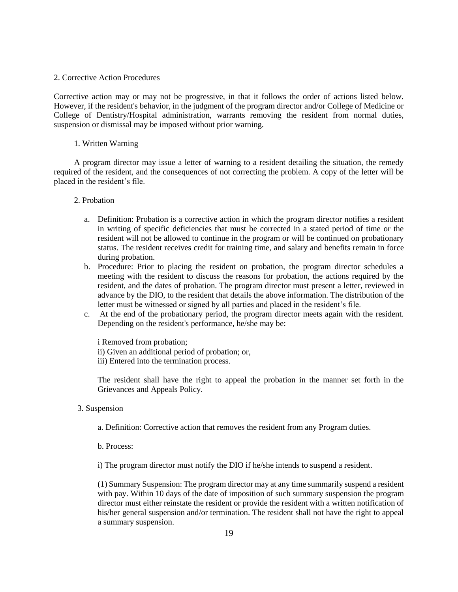#### 2. Corrective Action Procedures

Corrective action may or may not be progressive, in that it follows the order of actions listed below. However, if the resident's behavior, in the judgment of the program director and/or College of Medicine or College of Dentistry/Hospital administration, warrants removing the resident from normal duties, suspension or dismissal may be imposed without prior warning.

#### 1. Written Warning

A program director may issue a letter of warning to a resident detailing the situation, the remedy required of the resident, and the consequences of not correcting the problem. A copy of the letter will be placed in the resident's file.

#### 2. Probation

- a. Definition: Probation is a corrective action in which the program director notifies a resident in writing of specific deficiencies that must be corrected in a stated period of time or the resident will not be allowed to continue in the program or will be continued on probationary status. The resident receives credit for training time, and salary and benefits remain in force during probation.
- b. Procedure: Prior to placing the resident on probation, the program director schedules a meeting with the resident to discuss the reasons for probation, the actions required by the resident, and the dates of probation. The program director must present a letter, reviewed in advance by the DIO, to the resident that details the above information. The distribution of the letter must be witnessed or signed by all parties and placed in the resident's file.
- c. At the end of the probationary period, the program director meets again with the resident. Depending on the resident's performance, he/she may be:

i Removed from probation; ii) Given an additional period of probation; or, iii) Entered into the termination process.

The resident shall have the right to appeal the probation in the manner set forth in the Grievances and Appeals Policy.

- 3. Suspension
	- a. Definition: Corrective action that removes the resident from any Program duties.
	- b. Process:
	- i) The program director must notify the DIO if he/she intends to suspend a resident.

(1) Summary Suspension: The program director may at any time summarily suspend a resident with pay. Within 10 days of the date of imposition of such summary suspension the program director must either reinstate the resident or provide the resident with a written notification of his/her general suspension and/or termination. The resident shall not have the right to appeal a summary suspension.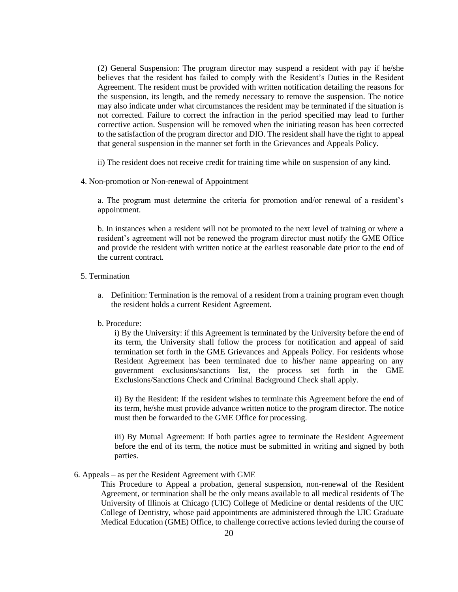(2) General Suspension: The program director may suspend a resident with pay if he/she believes that the resident has failed to comply with the Resident's Duties in the Resident Agreement. The resident must be provided with written notification detailing the reasons for the suspension, its length, and the remedy necessary to remove the suspension. The notice may also indicate under what circumstances the resident may be terminated if the situation is not corrected. Failure to correct the infraction in the period specified may lead to further corrective action. Suspension will be removed when the initiating reason has been corrected to the satisfaction of the program director and DIO. The resident shall have the right to appeal that general suspension in the manner set forth in the Grievances and Appeals Policy.

ii) The resident does not receive credit for training time while on suspension of any kind.

4. Non-promotion or Non-renewal of Appointment

a. The program must determine the criteria for promotion and/or renewal of a resident's appointment.

b. In instances when a resident will not be promoted to the next level of training or where a resident's agreement will not be renewed the program director must notify the GME Office and provide the resident with written notice at the earliest reasonable date prior to the end of the current contract.

## 5. Termination

a. Definition: Termination is the removal of a resident from a training program even though the resident holds a current Resident Agreement.

#### b. Procedure:

i) By the University: if this Agreement is terminated by the University before the end of its term, the University shall follow the process for notification and appeal of said termination set forth in the GME Grievances and Appeals Policy. For residents whose Resident Agreement has been terminated due to his/her name appearing on any government exclusions/sanctions list, the process set forth in the GME Exclusions/Sanctions Check and Criminal Background Check shall apply.

ii) By the Resident: If the resident wishes to terminate this Agreement before the end of its term, he/she must provide advance written notice to the program director. The notice must then be forwarded to the GME Office for processing.

iii) By Mutual Agreement: If both parties agree to terminate the Resident Agreement before the end of its term, the notice must be submitted in writing and signed by both parties.

#### 6. Appeals – as per the Resident Agreement with GME

This Procedure to Appeal a probation, general suspension, non-renewal of the Resident Agreement, or termination shall be the only means available to all medical residents of The University of Illinois at Chicago (UIC) College of Medicine or dental residents of the UIC College of Dentistry, whose paid appointments are administered through the UIC Graduate Medical Education (GME) Office, to challenge corrective actions levied during the course of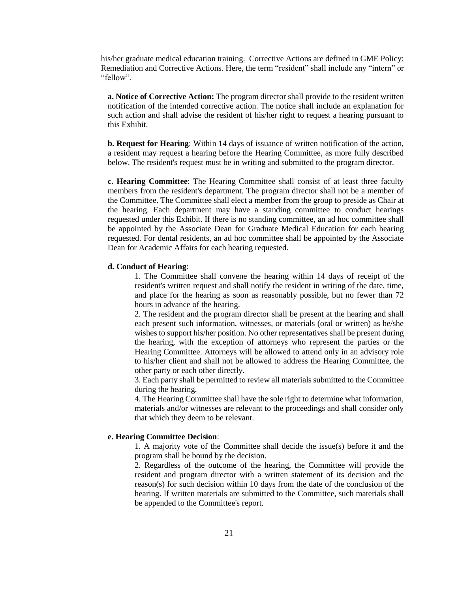his/her graduate medical education training. Corrective Actions are defined in GME Policy: Remediation and Corrective Actions. Here, the term "resident" shall include any "intern" or "fellow".

**a. Notice of Corrective Action:** The program director shall provide to the resident written notification of the intended corrective action. The notice shall include an explanation for such action and shall advise the resident of his/her right to request a hearing pursuant to this Exhibit.

**b. Request for Hearing**: Within 14 days of issuance of written notification of the action, a resident may request a hearing before the Hearing Committee, as more fully described below. The resident's request must be in writing and submitted to the program director.

**c. Hearing Committee**: The Hearing Committee shall consist of at least three faculty members from the resident's department. The program director shall not be a member of the Committee. The Committee shall elect a member from the group to preside as Chair at the hearing. Each department may have a standing committee to conduct hearings requested under this Exhibit. If there is no standing committee, an ad hoc committee shall be appointed by the Associate Dean for Graduate Medical Education for each hearing requested. For dental residents, an ad hoc committee shall be appointed by the Associate Dean for Academic Affairs for each hearing requested.

#### **d. Conduct of Hearing**:

1. The Committee shall convene the hearing within 14 days of receipt of the resident's written request and shall notify the resident in writing of the date, time, and place for the hearing as soon as reasonably possible, but no fewer than 72 hours in advance of the hearing.

2. The resident and the program director shall be present at the hearing and shall each present such information, witnesses, or materials (oral or written) as he/she wishes to support his/her position. No other representatives shall be present during the hearing, with the exception of attorneys who represent the parties or the Hearing Committee. Attorneys will be allowed to attend only in an advisory role to his/her client and shall not be allowed to address the Hearing Committee, the other party or each other directly.

3. Each party shall be permitted to review all materials submitted to the Committee during the hearing.

4. The Hearing Committee shall have the sole right to determine what information, materials and/or witnesses are relevant to the proceedings and shall consider only that which they deem to be relevant.

#### **e. Hearing Committee Decision**:

1. A majority vote of the Committee shall decide the issue(s) before it and the program shall be bound by the decision.

2. Regardless of the outcome of the hearing, the Committee will provide the resident and program director with a written statement of its decision and the reason(s) for such decision within 10 days from the date of the conclusion of the hearing. If written materials are submitted to the Committee, such materials shall be appended to the Committee's report.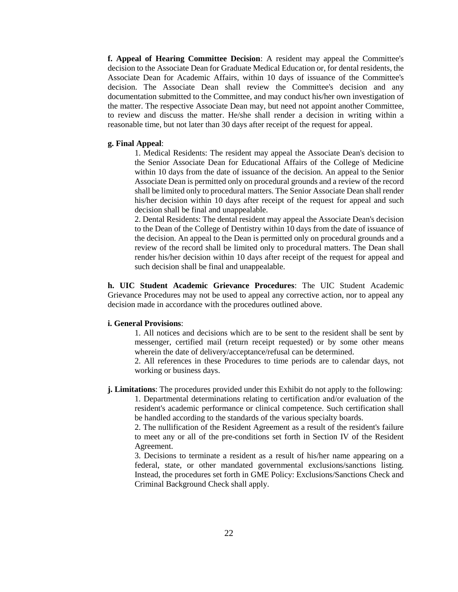**f. Appeal of Hearing Committee Decision**: A resident may appeal the Committee's decision to the Associate Dean for Graduate Medical Education or, for dental residents, the Associate Dean for Academic Affairs, within 10 days of issuance of the Committee's decision. The Associate Dean shall review the Committee's decision and any documentation submitted to the Committee, and may conduct his/her own investigation of the matter. The respective Associate Dean may, but need not appoint another Committee, to review and discuss the matter. He/she shall render a decision in writing within a reasonable time, but not later than 30 days after receipt of the request for appeal.

#### **g. Final Appeal**:

1. Medical Residents: The resident may appeal the Associate Dean's decision to the Senior Associate Dean for Educational Affairs of the College of Medicine within 10 days from the date of issuance of the decision. An appeal to the Senior Associate Dean is permitted only on procedural grounds and a review of the record shall be limited only to procedural matters. The Senior Associate Dean shall render his/her decision within 10 days after receipt of the request for appeal and such decision shall be final and unappealable.

2. Dental Residents: The dental resident may appeal the Associate Dean's decision to the Dean of the College of Dentistry within 10 days from the date of issuance of the decision. An appeal to the Dean is permitted only on procedural grounds and a review of the record shall be limited only to procedural matters. The Dean shall render his/her decision within 10 days after receipt of the request for appeal and such decision shall be final and unappealable.

**h. UIC Student Academic Grievance Procedures**: The UIC Student Academic Grievance Procedures may not be used to appeal any corrective action, nor to appeal any decision made in accordance with the procedures outlined above.

#### **i. General Provisions**:

1. All notices and decisions which are to be sent to the resident shall be sent by messenger, certified mail (return receipt requested) or by some other means wherein the date of delivery/acceptance/refusal can be determined.

2. All references in these Procedures to time periods are to calendar days, not working or business days.

**j. Limitations**: The procedures provided under this Exhibit do not apply to the following:

1. Departmental determinations relating to certification and/or evaluation of the resident's academic performance or clinical competence. Such certification shall be handled according to the standards of the various specialty boards.

2. The nullification of the Resident Agreement as a result of the resident's failure to meet any or all of the pre-conditions set forth in Section IV of the Resident Agreement.

3. Decisions to terminate a resident as a result of his/her name appearing on a federal, state, or other mandated governmental exclusions/sanctions listing. Instead, the procedures set forth in GME Policy: Exclusions/Sanctions Check and Criminal Background Check shall apply.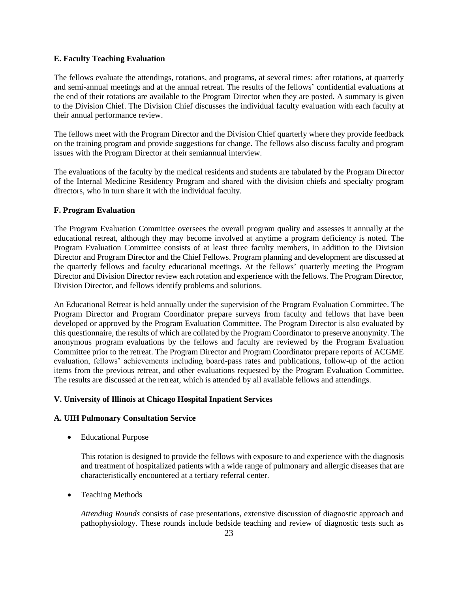#### **E. Faculty Teaching Evaluation**

The fellows evaluate the attendings, rotations, and programs, at several times: after rotations, at quarterly and semi-annual meetings and at the annual retreat. The results of the fellows' confidential evaluations at the end of their rotations are available to the Program Director when they are posted. A summary is given to the Division Chief. The Division Chief discusses the individual faculty evaluation with each faculty at their annual performance review.

The fellows meet with the Program Director and the Division Chief quarterly where they provide feedback on the training program and provide suggestions for change. The fellows also discuss faculty and program issues with the Program Director at their semiannual interview.

The evaluations of the faculty by the medical residents and students are tabulated by the Program Director of the Internal Medicine Residency Program and shared with the division chiefs and specialty program directors, who in turn share it with the individual faculty.

#### **F. Program Evaluation**

The Program Evaluation Committee oversees the overall program quality and assesses it annually at the educational retreat, although they may become involved at anytime a program deficiency is noted. The Program Evaluation Committee consists of at least three faculty members, in addition to the Division Director and Program Director and the Chief Fellows. Program planning and development are discussed at the quarterly fellows and faculty educational meetings. At the fellows' quarterly meeting the Program Director and Division Director review each rotation and experience with the fellows. The Program Director, Division Director, and fellows identify problems and solutions.

An Educational Retreat is held annually under the supervision of the Program Evaluation Committee. The Program Director and Program Coordinator prepare surveys from faculty and fellows that have been developed or approved by the Program Evaluation Committee. The Program Director is also evaluated by this questionnaire, the results of which are collated by the Program Coordinator to preserve anonymity. The anonymous program evaluations by the fellows and faculty are reviewed by the Program Evaluation Committee prior to the retreat. The Program Director and Program Coordinator prepare reports of ACGME evaluation, fellows' achievements including board-pass rates and publications, follow-up of the action items from the previous retreat, and other evaluations requested by the Program Evaluation Committee. The results are discussed at the retreat, which is attended by all available fellows and attendings.

## **V. University of Illinois at Chicago Hospital Inpatient Services**

#### **A. UIH Pulmonary Consultation Service**

Educational Purpose

This rotation is designed to provide the fellows with exposure to and experience with the diagnosis and treatment of hospitalized patients with a wide range of pulmonary and allergic diseases that are characteristically encountered at a tertiary referral center.

• Teaching Methods

*Attending Rounds* consists of case presentations, extensive discussion of diagnostic approach and pathophysiology. These rounds include bedside teaching and review of diagnostic tests such as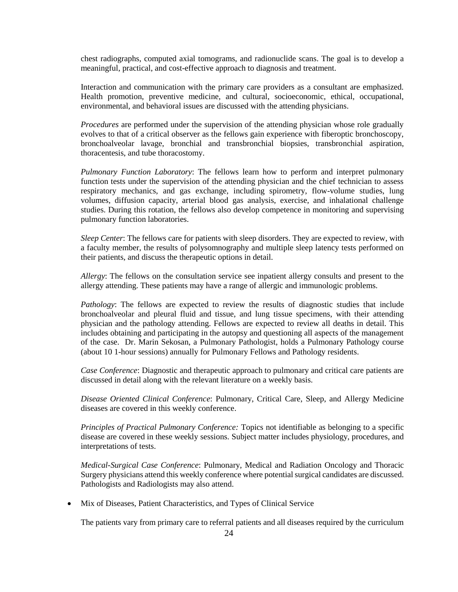chest radiographs, computed axial tomograms, and radionuclide scans. The goal is to develop a meaningful, practical, and cost-effective approach to diagnosis and treatment.

Interaction and communication with the primary care providers as a consultant are emphasized. Health promotion, preventive medicine, and cultural, socioeconomic, ethical, occupational, environmental, and behavioral issues are discussed with the attending physicians.

*Procedures* are performed under the supervision of the attending physician whose role gradually evolves to that of a critical observer as the fellows gain experience with fiberoptic bronchoscopy, bronchoalveolar lavage, bronchial and transbronchial biopsies, transbronchial aspiration, thoracentesis, and tube thoracostomy.

*Pulmonary Function Laboratory*: The fellows learn how to perform and interpret pulmonary function tests under the supervision of the attending physician and the chief technician to assess respiratory mechanics, and gas exchange, including spirometry, flow-volume studies, lung volumes, diffusion capacity, arterial blood gas analysis, exercise, and inhalational challenge studies. During this rotation, the fellows also develop competence in monitoring and supervising pulmonary function laboratories.

*Sleep Center*: The fellows care for patients with sleep disorders. They are expected to review, with a faculty member, the results of polysomnography and multiple sleep latency tests performed on their patients, and discuss the therapeutic options in detail.

*Allergy*: The fellows on the consultation service see inpatient allergy consults and present to the allergy attending. These patients may have a range of allergic and immunologic problems.

*Pathology*: The fellows are expected to review the results of diagnostic studies that include bronchoalveolar and pleural fluid and tissue, and lung tissue specimens, with their attending physician and the pathology attending. Fellows are expected to review all deaths in detail. This includes obtaining and participating in the autopsy and questioning all aspects of the management of the case. Dr. Marin Sekosan, a Pulmonary Pathologist, holds a Pulmonary Pathology course (about 10 1-hour sessions) annually for Pulmonary Fellows and Pathology residents.

*Case Conference*: Diagnostic and therapeutic approach to pulmonary and critical care patients are discussed in detail along with the relevant literature on a weekly basis.

*Disease Oriented Clinical Conference*: Pulmonary, Critical Care, Sleep, and Allergy Medicine diseases are covered in this weekly conference.

*Principles of Practical Pulmonary Conference:* Topics not identifiable as belonging to a specific disease are covered in these weekly sessions. Subject matter includes physiology, procedures, and interpretations of tests.

*Medical-Surgical Case Conference*: Pulmonary, Medical and Radiation Oncology and Thoracic Surgery physicians attend this weekly conference where potential surgical candidates are discussed. Pathologists and Radiologists may also attend.

Mix of Diseases, Patient Characteristics, and Types of Clinical Service

The patients vary from primary care to referral patients and all diseases required by the curriculum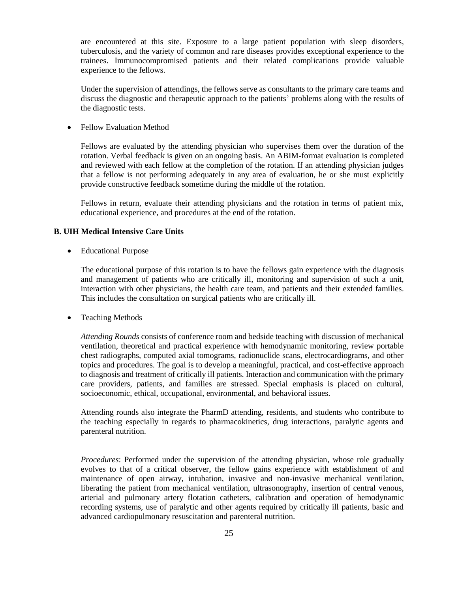are encountered at this site. Exposure to a large patient population with sleep disorders, tuberculosis, and the variety of common and rare diseases provides exceptional experience to the trainees. Immunocompromised patients and their related complications provide valuable experience to the fellows.

Under the supervision of attendings, the fellows serve as consultants to the primary care teams and discuss the diagnostic and therapeutic approach to the patients' problems along with the results of the diagnostic tests.

Fellow Evaluation Method

Fellows are evaluated by the attending physician who supervises them over the duration of the rotation. Verbal feedback is given on an ongoing basis. An ABIM-format evaluation is completed and reviewed with each fellow at the completion of the rotation. If an attending physician judges that a fellow is not performing adequately in any area of evaluation, he or she must explicitly provide constructive feedback sometime during the middle of the rotation.

Fellows in return, evaluate their attending physicians and the rotation in terms of patient mix, educational experience, and procedures at the end of the rotation.

#### **B. UIH Medical Intensive Care Units**

Educational Purpose

The educational purpose of this rotation is to have the fellows gain experience with the diagnosis and management of patients who are critically ill, monitoring and supervision of such a unit, interaction with other physicians, the health care team, and patients and their extended families. This includes the consultation on surgical patients who are critically ill.

Teaching Methods

*Attending Rounds* consists of conference room and bedside teaching with discussion of mechanical ventilation, theoretical and practical experience with hemodynamic monitoring, review portable chest radiographs, computed axial tomograms, radionuclide scans, electrocardiograms, and other topics and procedures. The goal is to develop a meaningful, practical, and cost-effective approach to diagnosis and treatment of critically ill patients. Interaction and communication with the primary care providers, patients, and families are stressed. Special emphasis is placed on cultural, socioeconomic, ethical, occupational, environmental, and behavioral issues.

Attending rounds also integrate the PharmD attending, residents, and students who contribute to the teaching especially in regards to pharmacokinetics, drug interactions, paralytic agents and parenteral nutrition.

*Procedures*: Performed under the supervision of the attending physician, whose role gradually evolves to that of a critical observer, the fellow gains experience with establishment of and maintenance of open airway, intubation, invasive and non-invasive mechanical ventilation, liberating the patient from mechanical ventilation, ultrasonography, insertion of central venous, arterial and pulmonary artery flotation catheters, calibration and operation of hemodynamic recording systems, use of paralytic and other agents required by critically ill patients, basic and advanced cardiopulmonary resuscitation and parenteral nutrition.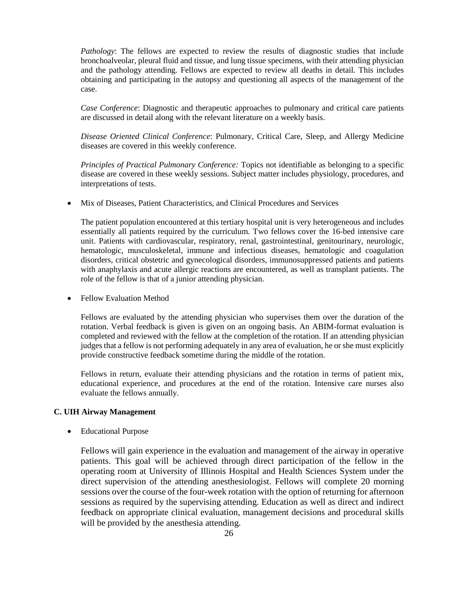*Pathology*: The fellows are expected to review the results of diagnostic studies that include bronchoalveolar, pleural fluid and tissue, and lung tissue specimens, with their attending physician and the pathology attending. Fellows are expected to review all deaths in detail. This includes obtaining and participating in the autopsy and questioning all aspects of the management of the case.

*Case Conference*: Diagnostic and therapeutic approaches to pulmonary and critical care patients are discussed in detail along with the relevant literature on a weekly basis.

*Disease Oriented Clinical Conference*: Pulmonary, Critical Care, Sleep, and Allergy Medicine diseases are covered in this weekly conference.

*Principles of Practical Pulmonary Conference:* Topics not identifiable as belonging to a specific disease are covered in these weekly sessions. Subject matter includes physiology, procedures, and interpretations of tests.

Mix of Diseases, Patient Characteristics, and Clinical Procedures and Services

The patient population encountered at this tertiary hospital unit is very heterogeneous and includes essentially all patients required by the curriculum. Two fellows cover the 16-bed intensive care unit. Patients with cardiovascular, respiratory, renal, gastrointestinal, genitourinary, neurologic, hematologic, musculoskeletal, immune and infectious diseases, hematologic and coagulation disorders, critical obstetric and gynecological disorders, immunosuppressed patients and patients with anaphylaxis and acute allergic reactions are encountered, as well as transplant patients. The role of the fellow is that of a junior attending physician.

Fellow Evaluation Method

Fellows are evaluated by the attending physician who supervises them over the duration of the rotation. Verbal feedback is given is given on an ongoing basis. An ABIM-format evaluation is completed and reviewed with the fellow at the completion of the rotation. If an attending physician judges that a fellow is not performing adequately in any area of evaluation, he or she must explicitly provide constructive feedback sometime during the middle of the rotation.

Fellows in return, evaluate their attending physicians and the rotation in terms of patient mix, educational experience, and procedures at the end of the rotation. Intensive care nurses also evaluate the fellows annually.

#### **C. UIH Airway Management**

Educational Purpose

Fellows will gain experience in the evaluation and management of the airway in operative patients. This goal will be achieved through direct participation of the fellow in the operating room at University of Illinois Hospital and Health Sciences System under the direct supervision of the attending anesthesiologist. Fellows will complete 20 morning sessions over the course of the four-week rotation with the option of returning for afternoon sessions as required by the supervising attending. Education as well as direct and indirect feedback on appropriate clinical evaluation, management decisions and procedural skills will be provided by the anesthesia attending.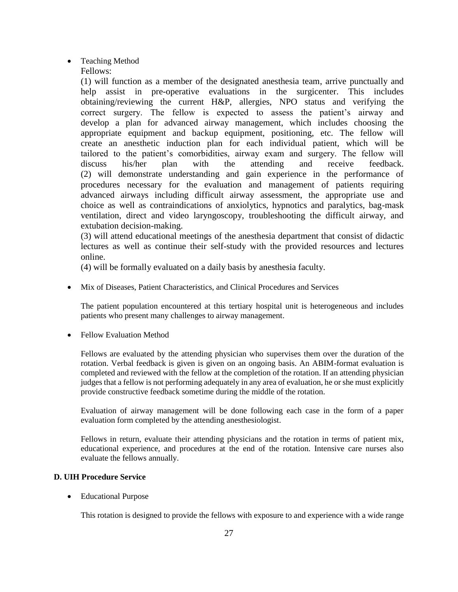- Teaching Method
	- Fellows:

(1) will function as a member of the designated anesthesia team, arrive punctually and help assist in pre-operative evaluations in the surgicenter. This includes obtaining/reviewing the current H&P, allergies, NPO status and verifying the correct surgery. The fellow is expected to assess the patient's airway and develop a plan for advanced airway management, which includes choosing the appropriate equipment and backup equipment, positioning, etc. The fellow will create an anesthetic induction plan for each individual patient, which will be tailored to the patient's comorbidities, airway exam and surgery. The fellow will discuss his/her plan with the attending and receive feedback. (2) will demonstrate understanding and gain experience in the performance of procedures necessary for the evaluation and management of patients requiring advanced airways including difficult airway assessment, the appropriate use and choice as well as contraindications of anxiolytics, hypnotics and paralytics, bag-mask ventilation, direct and video laryngoscopy, troubleshooting the difficult airway, and extubation decision-making.

(3) will attend educational meetings of the anesthesia department that consist of didactic lectures as well as continue their self-study with the provided resources and lectures online.

(4) will be formally evaluated on a daily basis by anesthesia faculty.

Mix of Diseases, Patient Characteristics, and Clinical Procedures and Services

The patient population encountered at this tertiary hospital unit is heterogeneous and includes patients who present many challenges to airway management.

• Fellow Evaluation Method

Fellows are evaluated by the attending physician who supervises them over the duration of the rotation. Verbal feedback is given is given on an ongoing basis. An ABIM-format evaluation is completed and reviewed with the fellow at the completion of the rotation. If an attending physician judges that a fellow is not performing adequately in any area of evaluation, he or she must explicitly provide constructive feedback sometime during the middle of the rotation.

Evaluation of airway management will be done following each case in the form of a paper evaluation form completed by the attending anesthesiologist.

Fellows in return, evaluate their attending physicians and the rotation in terms of patient mix, educational experience, and procedures at the end of the rotation. Intensive care nurses also evaluate the fellows annually.

## **D. UIH Procedure Service**

Educational Purpose

This rotation is designed to provide the fellows with exposure to and experience with a wide range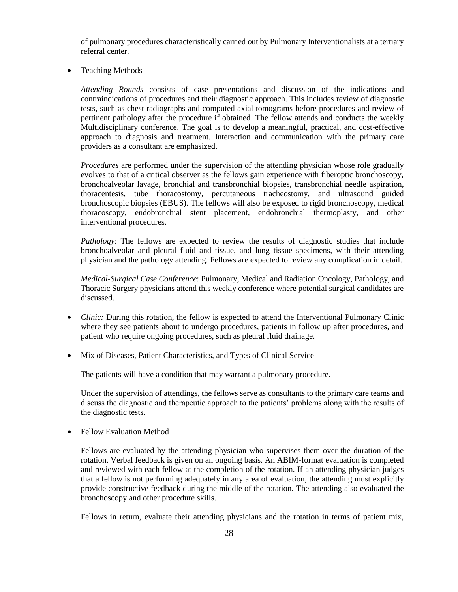of pulmonary procedures characteristically carried out by Pulmonary Interventionalists at a tertiary referral center.

• Teaching Methods

*Attending Rounds* consists of case presentations and discussion of the indications and contraindications of procedures and their diagnostic approach. This includes review of diagnostic tests, such as chest radiographs and computed axial tomograms before procedures and review of pertinent pathology after the procedure if obtained. The fellow attends and conducts the weekly Multidisciplinary conference. The goal is to develop a meaningful, practical, and cost-effective approach to diagnosis and treatment. Interaction and communication with the primary care providers as a consultant are emphasized.

*Procedures* are performed under the supervision of the attending physician whose role gradually evolves to that of a critical observer as the fellows gain experience with fiberoptic bronchoscopy, bronchoalveolar lavage, bronchial and transbronchial biopsies, transbronchial needle aspiration, thoracentesis, tube thoracostomy, percutaneous tracheostomy, and ultrasound guided bronchoscopic biopsies (EBUS). The fellows will also be exposed to rigid bronchoscopy, medical thoracoscopy, endobronchial stent placement, endobronchial thermoplasty, and other interventional procedures.

*Pathology*: The fellows are expected to review the results of diagnostic studies that include bronchoalveolar and pleural fluid and tissue, and lung tissue specimens, with their attending physician and the pathology attending. Fellows are expected to review any complication in detail.

*Medical-Surgical Case Conference*: Pulmonary, Medical and Radiation Oncology, Pathology, and Thoracic Surgery physicians attend this weekly conference where potential surgical candidates are discussed.

- *Clinic:* During this rotation, the fellow is expected to attend the Interventional Pulmonary Clinic where they see patients about to undergo procedures, patients in follow up after procedures, and patient who require ongoing procedures, such as pleural fluid drainage.
- Mix of Diseases, Patient Characteristics, and Types of Clinical Service

The patients will have a condition that may warrant a pulmonary procedure.

Under the supervision of attendings, the fellows serve as consultants to the primary care teams and discuss the diagnostic and therapeutic approach to the patients' problems along with the results of the diagnostic tests.

• Fellow Evaluation Method

Fellows are evaluated by the attending physician who supervises them over the duration of the rotation. Verbal feedback is given on an ongoing basis. An ABIM-format evaluation is completed and reviewed with each fellow at the completion of the rotation. If an attending physician judges that a fellow is not performing adequately in any area of evaluation, the attending must explicitly provide constructive feedback during the middle of the rotation. The attending also evaluated the bronchoscopy and other procedure skills.

Fellows in return, evaluate their attending physicians and the rotation in terms of patient mix,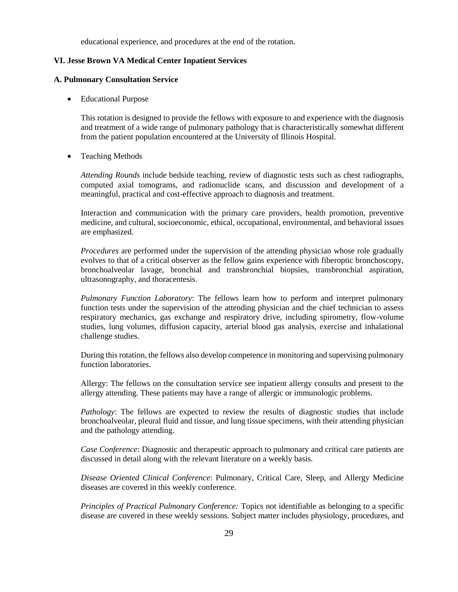educational experience, and procedures at the end of the rotation.

#### **VI. Jesse Brown VA Medical Center Inpatient Services**

## **A. Pulmonary Consultation Service**

Educational Purpose

This rotation is designed to provide the fellows with exposure to and experience with the diagnosis and treatment of a wide range of pulmonary pathology that is characteristically somewhat different from the patient population encountered at the University of Illinois Hospital.

• Teaching Methods

*Attending Rounds* include bedside teaching, review of diagnostic tests such as chest radiographs, computed axial tomograms, and radionuclide scans, and discussion and development of a meaningful, practical and cost-effective approach to diagnosis and treatment.

Interaction and communication with the primary care providers, health promotion, preventive medicine, and cultural, socioeconomic, ethical, occupational, environmental, and behavioral issues are emphasized.

*Procedures* are performed under the supervision of the attending physician whose role gradually evolves to that of a critical observer as the fellow gains experience with fiberoptic bronchoscopy, bronchoalveolar lavage, bronchial and transbronchial biopsies, transbronchial aspiration, ultrasonography, and thoracentesis.

*Pulmonary Function Laboratory*: The fellows learn how to perform and interpret pulmonary function tests under the supervision of the attending physician and the chief technician to assess respiratory mechanics, gas exchange and respiratory drive, including spirometry, flow-volume studies, lung volumes, diffusion capacity, arterial blood gas analysis, exercise and inhalational challenge studies.

During this rotation, the fellows also develop competence in monitoring and supervising pulmonary function laboratories.

Allergy: The fellows on the consultation service see inpatient allergy consults and present to the allergy attending. These patients may have a range of allergic or immunologic problems.

*Pathology*: The fellows are expected to review the results of diagnostic studies that include bronchoalveolar, pleural fluid and tissue, and lung tissue specimens, with their attending physician and the pathology attending.

*Case Conference*: Diagnostic and therapeutic approach to pulmonary and critical care patients are discussed in detail along with the relevant literature on a weekly basis.

*Disease Oriented Clinical Conference*: Pulmonary, Critical Care, Sleep, and Allergy Medicine diseases are covered in this weekly conference.

*Principles of Practical Pulmonary Conference:* Topics not identifiable as belonging to a specific disease are covered in these weekly sessions. Subject matter includes physiology, procedures, and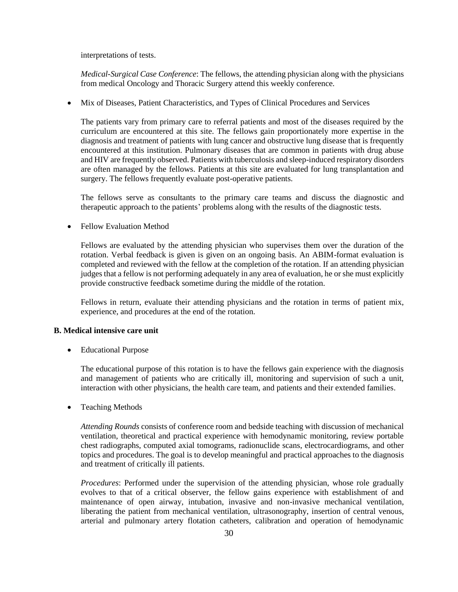interpretations of tests.

*Medical-Surgical Case Conference*: The fellows, the attending physician along with the physicians from medical Oncology and Thoracic Surgery attend this weekly conference.

Mix of Diseases, Patient Characteristics, and Types of Clinical Procedures and Services

The patients vary from primary care to referral patients and most of the diseases required by the curriculum are encountered at this site. The fellows gain proportionately more expertise in the diagnosis and treatment of patients with lung cancer and obstructive lung disease that is frequently encountered at this institution. Pulmonary diseases that are common in patients with drug abuse and HIV are frequently observed. Patients with tuberculosis and sleep-induced respiratory disorders are often managed by the fellows. Patients at this site are evaluated for lung transplantation and surgery. The fellows frequently evaluate post-operative patients.

The fellows serve as consultants to the primary care teams and discuss the diagnostic and therapeutic approach to the patients' problems along with the results of the diagnostic tests.

• Fellow Evaluation Method

Fellows are evaluated by the attending physician who supervises them over the duration of the rotation. Verbal feedback is given is given on an ongoing basis. An ABIM-format evaluation is completed and reviewed with the fellow at the completion of the rotation. If an attending physician judges that a fellow is not performing adequately in any area of evaluation, he or she must explicitly provide constructive feedback sometime during the middle of the rotation.

Fellows in return, evaluate their attending physicians and the rotation in terms of patient mix, experience, and procedures at the end of the rotation.

## **B. Medical intensive care unit**

Educational Purpose

The educational purpose of this rotation is to have the fellows gain experience with the diagnosis and management of patients who are critically ill, monitoring and supervision of such a unit, interaction with other physicians, the health care team, and patients and their extended families.

• Teaching Methods

*Attending Rounds* consists of conference room and bedside teaching with discussion of mechanical ventilation, theoretical and practical experience with hemodynamic monitoring, review portable chest radiographs, computed axial tomograms, radionuclide scans, electrocardiograms, and other topics and procedures. The goal is to develop meaningful and practical approaches to the diagnosis and treatment of critically ill patients.

*Procedures*: Performed under the supervision of the attending physician, whose role gradually evolves to that of a critical observer, the fellow gains experience with establishment of and maintenance of open airway, intubation, invasive and non-invasive mechanical ventilation, liberating the patient from mechanical ventilation, ultrasonography, insertion of central venous, arterial and pulmonary artery flotation catheters, calibration and operation of hemodynamic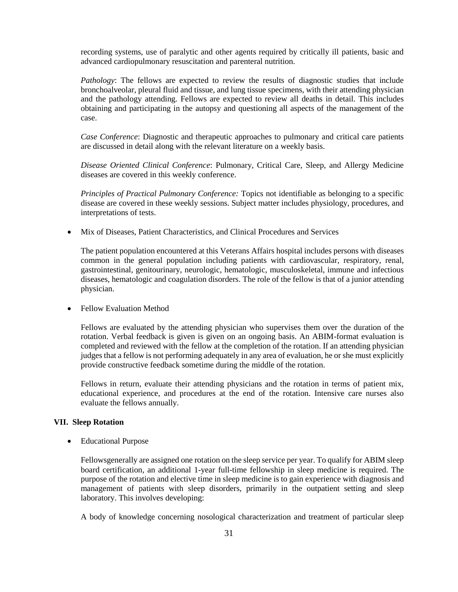recording systems, use of paralytic and other agents required by critically ill patients, basic and advanced cardiopulmonary resuscitation and parenteral nutrition.

*Pathology*: The fellows are expected to review the results of diagnostic studies that include bronchoalveolar, pleural fluid and tissue, and lung tissue specimens, with their attending physician and the pathology attending. Fellows are expected to review all deaths in detail. This includes obtaining and participating in the autopsy and questioning all aspects of the management of the case.

*Case Conference*: Diagnostic and therapeutic approaches to pulmonary and critical care patients are discussed in detail along with the relevant literature on a weekly basis.

*Disease Oriented Clinical Conference*: Pulmonary, Critical Care, Sleep, and Allergy Medicine diseases are covered in this weekly conference.

*Principles of Practical Pulmonary Conference:* Topics not identifiable as belonging to a specific disease are covered in these weekly sessions. Subject matter includes physiology, procedures, and interpretations of tests.

Mix of Diseases, Patient Characteristics, and Clinical Procedures and Services

The patient population encountered at this Veterans Affairs hospital includes persons with diseases common in the general population including patients with cardiovascular, respiratory, renal, gastrointestinal, genitourinary, neurologic, hematologic, musculoskeletal, immune and infectious diseases, hematologic and coagulation disorders. The role of the fellow is that of a junior attending physician.

Fellow Evaluation Method

Fellows are evaluated by the attending physician who supervises them over the duration of the rotation. Verbal feedback is given is given on an ongoing basis. An ABIM-format evaluation is completed and reviewed with the fellow at the completion of the rotation. If an attending physician judges that a fellow is not performing adequately in any area of evaluation, he or she must explicitly provide constructive feedback sometime during the middle of the rotation.

Fellows in return, evaluate their attending physicians and the rotation in terms of patient mix, educational experience, and procedures at the end of the rotation. Intensive care nurses also evaluate the fellows annually.

#### **VII. Sleep Rotation**

Educational Purpose

Fellowsgenerally are assigned one rotation on the sleep service per year. To qualify for ABIM sleep board certification, an additional 1-year full-time fellowship in sleep medicine is required. The purpose of the rotation and elective time in sleep medicine is to gain experience with diagnosis and management of patients with sleep disorders, primarily in the outpatient setting and sleep laboratory. This involves developing:

A body of knowledge concerning nosological characterization and treatment of particular sleep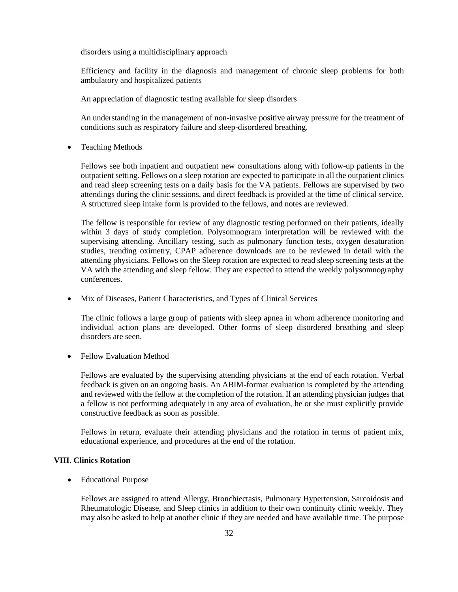disorders using a multidisciplinary approach

Efficiency and facility in the diagnosis and management of chronic sleep problems for both ambulatory and hospitalized patients

An appreciation of diagnostic testing available for sleep disorders

An understanding in the management of non-invasive positive airway pressure for the treatment of conditions such as respiratory failure and sleep-disordered breathing.

• Teaching Methods

Fellows see both inpatient and outpatient new consultations along with follow-up patients in the outpatient setting. Fellows on a sleep rotation are expected to participate in all the outpatient clinics and read sleep screening tests on a daily basis for the VA patients. Fellows are supervised by two attendings during the clinic sessions, and direct feedback is provided at the time of clinical service. A structured sleep intake form is provided to the fellows, and notes are reviewed.

The fellow is responsible for review of any diagnostic testing performed on their patients, ideally within 3 days of study completion. Polysomnogram interpretation will be reviewed with the supervising attending. Ancillary testing, such as pulmonary function tests, oxygen desaturation studies, trending oximetry, CPAP adherence downloads are to be reviewed in detail with the attending physicians. Fellows on the Sleep rotation are expected to read sleep screening tests at the VA with the attending and sleep fellow. They are expected to attend the weekly polysomnography conferences.

Mix of Diseases, Patient Characteristics, and Types of Clinical Services

The clinic follows a large group of patients with sleep apnea in whom adherence monitoring and individual action plans are developed. Other forms of sleep disordered breathing and sleep disorders are seen.

• Fellow Evaluation Method

Fellows are evaluated by the supervising attending physicians at the end of each rotation. Verbal feedback is given on an ongoing basis. An ABIM-format evaluation is completed by the attending and reviewed with the fellow at the completion of the rotation. If an attending physician judges that a fellow is not performing adequately in any area of evaluation, he or she must explicitly provide constructive feedback as soon as possible.

Fellows in return, evaluate their attending physicians and the rotation in terms of patient mix, educational experience, and procedures at the end of the rotation.

## **VIII. Clinics Rotation**

Educational Purpose

Fellows are assigned to attend Allergy, Bronchiectasis, Pulmonary Hypertension, Sarcoidosis and Rheumatologic Disease, and Sleep clinics in addition to their own continuity clinic weekly. They may also be asked to help at another clinic if they are needed and have available time. The purpose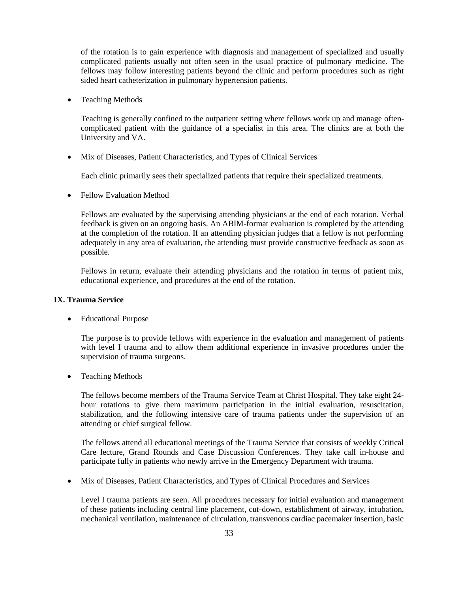of the rotation is to gain experience with diagnosis and management of specialized and usually complicated patients usually not often seen in the usual practice of pulmonary medicine. The fellows may follow interesting patients beyond the clinic and perform procedures such as right sided heart catheterization in pulmonary hypertension patients.

• Teaching Methods

Teaching is generally confined to the outpatient setting where fellows work up and manage oftencomplicated patient with the guidance of a specialist in this area. The clinics are at both the University and VA.

Mix of Diseases, Patient Characteristics, and Types of Clinical Services

Each clinic primarily sees their specialized patients that require their specialized treatments.

• Fellow Evaluation Method

Fellows are evaluated by the supervising attending physicians at the end of each rotation. Verbal feedback is given on an ongoing basis. An ABIM-format evaluation is completed by the attending at the completion of the rotation. If an attending physician judges that a fellow is not performing adequately in any area of evaluation, the attending must provide constructive feedback as soon as possible.

Fellows in return, evaluate their attending physicians and the rotation in terms of patient mix, educational experience, and procedures at the end of the rotation.

## **IX. Trauma Service**

Educational Purpose

The purpose is to provide fellows with experience in the evaluation and management of patients with level I trauma and to allow them additional experience in invasive procedures under the supervision of trauma surgeons.

• Teaching Methods

The fellows become members of the Trauma Service Team at Christ Hospital. They take eight 24 hour rotations to give them maximum participation in the initial evaluation, resuscitation, stabilization, and the following intensive care of trauma patients under the supervision of an attending or chief surgical fellow.

The fellows attend all educational meetings of the Trauma Service that consists of weekly Critical Care lecture, Grand Rounds and Case Discussion Conferences. They take call in-house and participate fully in patients who newly arrive in the Emergency Department with trauma.

Mix of Diseases, Patient Characteristics, and Types of Clinical Procedures and Services

Level I trauma patients are seen. All procedures necessary for initial evaluation and management of these patients including central line placement, cut-down, establishment of airway, intubation, mechanical ventilation, maintenance of circulation, transvenous cardiac pacemaker insertion, basic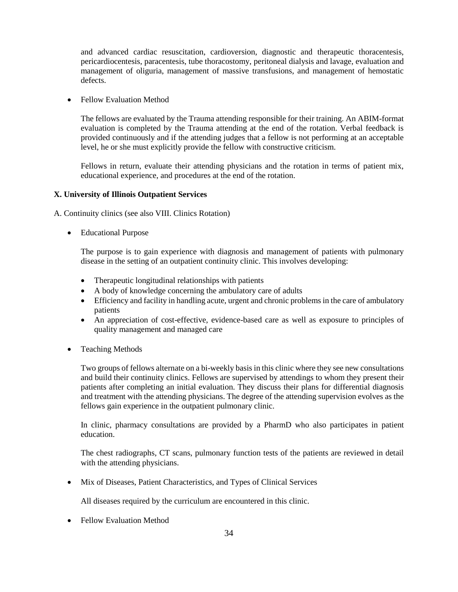and advanced cardiac resuscitation, cardioversion, diagnostic and therapeutic thoracentesis, pericardiocentesis, paracentesis, tube thoracostomy, peritoneal dialysis and lavage, evaluation and management of oliguria, management of massive transfusions, and management of hemostatic defects.

• Fellow Evaluation Method

The fellows are evaluated by the Trauma attending responsible for their training. An ABIM-format evaluation is completed by the Trauma attending at the end of the rotation. Verbal feedback is provided continuously and if the attending judges that a fellow is not performing at an acceptable level, he or she must explicitly provide the fellow with constructive criticism.

Fellows in return, evaluate their attending physicians and the rotation in terms of patient mix, educational experience, and procedures at the end of the rotation.

#### **X. University of Illinois Outpatient Services**

A. Continuity clinics (see also VIII. Clinics Rotation)

Educational Purpose

The purpose is to gain experience with diagnosis and management of patients with pulmonary disease in the setting of an outpatient continuity clinic. This involves developing:

- Therapeutic longitudinal relationships with patients
- A body of knowledge concerning the ambulatory care of adults
- Efficiency and facility in handling acute, urgent and chronic problems in the care of ambulatory patients
- An appreciation of cost-effective, evidence-based care as well as exposure to principles of quality management and managed care
- Teaching Methods

Two groups of fellows alternate on a bi-weekly basis in this clinic where they see new consultations and build their continuity clinics. Fellows are supervised by attendings to whom they present their patients after completing an initial evaluation. They discuss their plans for differential diagnosis and treatment with the attending physicians. The degree of the attending supervision evolves as the fellows gain experience in the outpatient pulmonary clinic.

In clinic, pharmacy consultations are provided by a PharmD who also participates in patient education.

The chest radiographs, CT scans, pulmonary function tests of the patients are reviewed in detail with the attending physicians.

Mix of Diseases, Patient Characteristics, and Types of Clinical Services

All diseases required by the curriculum are encountered in this clinic.

• Fellow Evaluation Method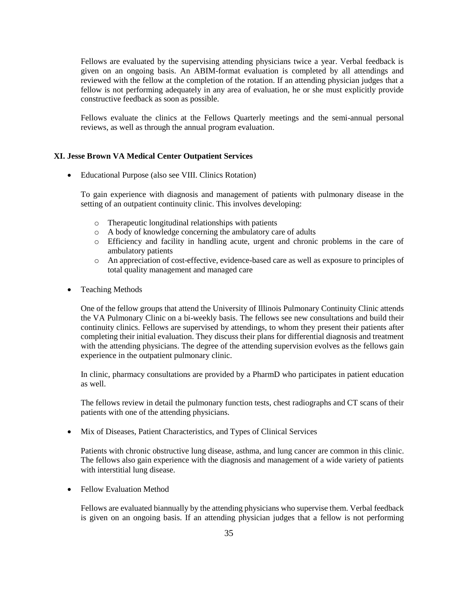Fellows are evaluated by the supervising attending physicians twice a year. Verbal feedback is given on an ongoing basis. An ABIM-format evaluation is completed by all attendings and reviewed with the fellow at the completion of the rotation. If an attending physician judges that a fellow is not performing adequately in any area of evaluation, he or she must explicitly provide constructive feedback as soon as possible.

Fellows evaluate the clinics at the Fellows Quarterly meetings and the semi-annual personal reviews, as well as through the annual program evaluation.

#### **XI. Jesse Brown VA Medical Center Outpatient Services**

Educational Purpose (also see VIII. Clinics Rotation)

To gain experience with diagnosis and management of patients with pulmonary disease in the setting of an outpatient continuity clinic. This involves developing:

- o Therapeutic longitudinal relationships with patients
- o A body of knowledge concerning the ambulatory care of adults
- o Efficiency and facility in handling acute, urgent and chronic problems in the care of ambulatory patients
- o An appreciation of cost-effective, evidence-based care as well as exposure to principles of total quality management and managed care
- Teaching Methods

One of the fellow groups that attend the University of Illinois Pulmonary Continuity Clinic attends the VA Pulmonary Clinic on a bi-weekly basis. The fellows see new consultations and build their continuity clinics. Fellows are supervised by attendings, to whom they present their patients after completing their initial evaluation. They discuss their plans for differential diagnosis and treatment with the attending physicians. The degree of the attending supervision evolves as the fellows gain experience in the outpatient pulmonary clinic.

In clinic, pharmacy consultations are provided by a PharmD who participates in patient education as well.

The fellows review in detail the pulmonary function tests, chest radiographs and CT scans of their patients with one of the attending physicians.

Mix of Diseases, Patient Characteristics, and Types of Clinical Services

Patients with chronic obstructive lung disease, asthma, and lung cancer are common in this clinic. The fellows also gain experience with the diagnosis and management of a wide variety of patients with interstitial lung disease.

• Fellow Evaluation Method

Fellows are evaluated biannually by the attending physicians who supervise them. Verbal feedback is given on an ongoing basis. If an attending physician judges that a fellow is not performing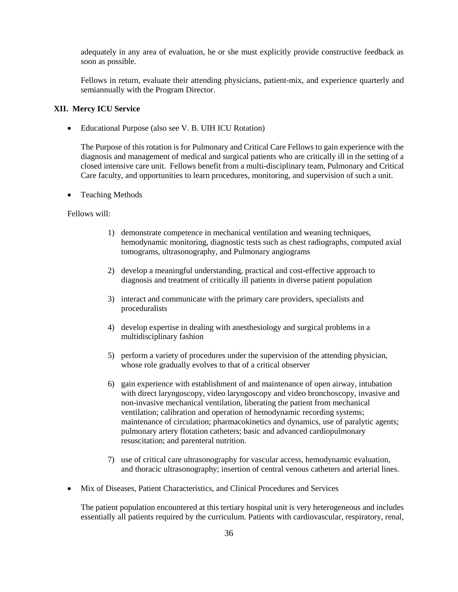adequately in any area of evaluation, he or she must explicitly provide constructive feedback as soon as possible.

Fellows in return, evaluate their attending physicians, patient-mix, and experience quarterly and semiannually with the Program Director.

#### **XII. Mercy ICU Service**

Educational Purpose (also see V. B. UIH ICU Rotation)

The Purpose of this rotation is for Pulmonary and Critical Care Fellows to gain experience with the diagnosis and management of medical and surgical patients who are critically ill in the setting of a closed intensive care unit. Fellows benefit from a multi-disciplinary team, Pulmonary and Critical Care faculty, and opportunities to learn procedures, monitoring, and supervision of such a unit.

• Teaching Methods

Fellows will:

- 1) demonstrate competence in mechanical ventilation and weaning techniques, hemodynamic monitoring, diagnostic tests such as chest radiographs, computed axial tomograms, ultrasonography, and Pulmonary angiograms
- 2) develop a meaningful understanding, practical and cost-effective approach to diagnosis and treatment of critically ill patients in diverse patient population
- 3) interact and communicate with the primary care providers, specialists and proceduralists
- 4) develop expertise in dealing with anesthesiology and surgical problems in a multidisciplinary fashion
- 5) perform a variety of procedures under the supervision of the attending physician, whose role gradually evolves to that of a critical observer
- 6) gain experience with establishment of and maintenance of open airway, intubation with direct laryngoscopy, video laryngoscopy and video bronchoscopy, invasive and non-invasive mechanical ventilation, liberating the patient from mechanical ventilation; calibration and operation of hemodynamic recording systems; maintenance of circulation; pharmacokinetics and dynamics, use of paralytic agents; pulmonary artery flotation catheters; basic and advanced cardiopulmonary resuscitation; and parenteral nutrition.
- 7) use of critical care ultrasonography for vascular access, hemodynamic evaluation, and thoracic ultrasonography; insertion of central venous catheters and arterial lines.
- Mix of Diseases, Patient Characteristics, and Clinical Procedures and Services

The patient population encountered at this tertiary hospital unit is very heterogeneous and includes essentially all patients required by the curriculum. Patients with cardiovascular, respiratory, renal,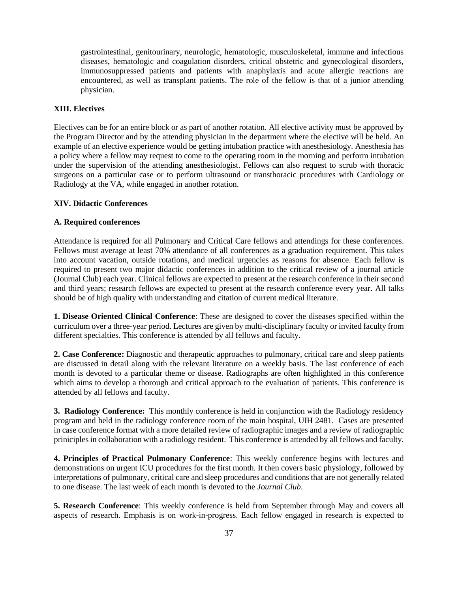gastrointestinal, genitourinary, neurologic, hematologic, musculoskeletal, immune and infectious diseases, hematologic and coagulation disorders, critical obstetric and gynecological disorders, immunosuppressed patients and patients with anaphylaxis and acute allergic reactions are encountered, as well as transplant patients. The role of the fellow is that of a junior attending physician.

#### **XIII. Electives**

Electives can be for an entire block or as part of another rotation. All elective activity must be approved by the Program Director and by the attending physician in the department where the elective will be held. An example of an elective experience would be getting intubation practice with anesthesiology. Anesthesia has a policy where a fellow may request to come to the operating room in the morning and perform intubation under the supervision of the attending anesthesiologist. Fellows can also request to scrub with thoracic surgeons on a particular case or to perform ultrasound or transthoracic procedures with Cardiology or Radiology at the VA, while engaged in another rotation.

#### **XIV. Didactic Conferences**

## **A. Required conferences**

Attendance is required for all Pulmonary and Critical Care fellows and attendings for these conferences. Fellows must average at least 70% attendance of all conferences as a graduation requirement. This takes into account vacation, outside rotations, and medical urgencies as reasons for absence. Each fellow is required to present two major didactic conferences in addition to the critical review of a journal article (Journal Club) each year. Clinical fellows are expected to present at the research conference in their second and third years; research fellows are expected to present at the research conference every year. All talks should be of high quality with understanding and citation of current medical literature.

**1. Disease Oriented Clinical Conference**: These are designed to cover the diseases specified within the curriculum over a three-year period. Lectures are given by multi-disciplinary faculty or invited faculty from different specialties. This conference is attended by all fellows and faculty.

**2. Case Conference:** Diagnostic and therapeutic approaches to pulmonary, critical care and sleep patients are discussed in detail along with the relevant literature on a weekly basis. The last conference of each month is devoted to a particular theme or disease. Radiographs are often highlighted in this conference which aims to develop a thorough and critical approach to the evaluation of patients. This conference is attended by all fellows and faculty.

**3. Radiology Conference:** This monthly conference is held in conjunction with the Radiology residency program and held in the radiology conference room of the main hospital, UIH 2481. Cases are presented in case conference format with a more detailed review of radiographic images and a review of radiographic priniciples in collaboration with a radiology resident. This conference is attended by all fellows and faculty.

**4. Principles of Practical Pulmonary Conference**: This weekly conference begins with lectures and demonstrations on urgent ICU procedures for the first month. It then covers basic physiology, followed by interpretations of pulmonary, critical care and sleep procedures and conditions that are not generally related to one disease. The last week of each month is devoted to the *Journal Club*.

**5. Research Conference**: This weekly conference is held from September through May and covers all aspects of research. Emphasis is on work-in-progress. Each fellow engaged in research is expected to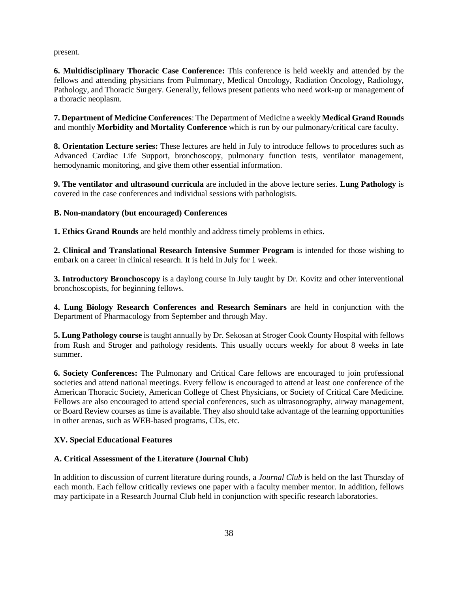present.

**6. Multidisciplinary Thoracic Case Conference:** This conference is held weekly and attended by the fellows and attending physicians from Pulmonary, Medical Oncology, Radiation Oncology, Radiology, Pathology, and Thoracic Surgery. Generally, fellows present patients who need work-up or management of a thoracic neoplasm.

**7. Department of Medicine Conferences**: The Department of Medicine a weekly **Medical Grand Rounds**  and monthly **Morbidity and Mortality Conference** which is run by our pulmonary/critical care faculty.

**8. Orientation Lecture series:** These lectures are held in July to introduce fellows to procedures such as Advanced Cardiac Life Support, bronchoscopy, pulmonary function tests, ventilator management, hemodynamic monitoring, and give them other essential information.

**9. The ventilator and ultrasound curricula** are included in the above lecture series. **Lung Pathology** is covered in the case conferences and individual sessions with pathologists.

## **B. Non-mandatory (but encouraged) Conferences**

**1. Ethics Grand Rounds** are held monthly and address timely problems in ethics.

**2. Clinical and Translational Research Intensive Summer Program** is intended for those wishing to embark on a career in clinical research. It is held in July for 1 week.

**3. Introductory Bronchoscopy** is a daylong course in July taught by Dr. Kovitz and other interventional bronchoscopists, for beginning fellows.

**4. Lung Biology Research Conferences and Research Seminars** are held in conjunction with the Department of Pharmacology from September and through May.

**5. Lung Pathology course** is taught annually by Dr. Sekosan at Stroger Cook County Hospital with fellows from Rush and Stroger and pathology residents. This usually occurs weekly for about 8 weeks in late summer.

**6. Society Conferences:** The Pulmonary and Critical Care fellows are encouraged to join professional societies and attend national meetings. Every fellow is encouraged to attend at least one conference of the American Thoracic Society, American College of Chest Physicians, or Society of Critical Care Medicine. Fellows are also encouraged to attend special conferences, such as ultrasonography, airway management, or Board Review courses as time is available. They also should take advantage of the learning opportunities in other arenas, such as WEB-based programs, CDs, etc.

## **XV. Special Educational Features**

## **A. Critical Assessment of the Literature (Journal Club)**

In addition to discussion of current literature during rounds, a *Journal Club* is held on the last Thursday of each month. Each fellow critically reviews one paper with a faculty member mentor. In addition, fellows may participate in a Research Journal Club held in conjunction with specific research laboratories.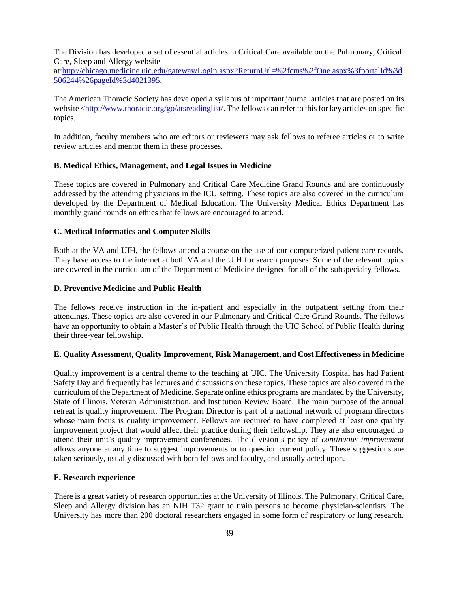The Division has developed a set of essential articles in Critical Care available on the Pulmonary, Critical Care, Sleep and Allergy website

at[:http://chicago.medicine.uic.edu/gateway/Login.aspx?ReturnUrl=%2fcms%2fOne.aspx%3fportalId%3d](http://chicago.medicine.uic.edu/gateway/Login.aspx?ReturnUrl=%2fcms%2fOne.aspx%3fportalId%3d506244%26pageId%3d4021395) [506244%26pageId%3d4021395.](http://chicago.medicine.uic.edu/gateway/Login.aspx?ReturnUrl=%2fcms%2fOne.aspx%3fportalId%3d506244%26pageId%3d4021395)

The American Thoracic Society has developed a syllabus of important journal articles that are posted on its website [<http://www.thoracic.org/go/atsreadinglist/](http://www.thoracic.org/go/atsreadinglist). The fellows can refer to this for key articles on specific topics.

In addition, faculty members who are editors or reviewers may ask fellows to referee articles or to write review articles and mentor them in these processes.

#### **B. Medical Ethics, Management, and Legal Issues in Medicine**

These topics are covered in Pulmonary and Critical Care Medicine Grand Rounds and are continuously addressed by the attending physicians in the ICU setting. These topics are also covered in the curriculum developed by the Department of Medical Education. The University Medical Ethics Department has monthly grand rounds on ethics that fellows are encouraged to attend.

#### **C. Medical Informatics and Computer Skills**

Both at the VA and UIH, the fellows attend a course on the use of our computerized patient care records. They have access to the internet at both VA and the UIH for search purposes. Some of the relevant topics are covered in the curriculum of the Department of Medicine designed for all of the subspecialty fellows.

## **D. Preventive Medicine and Public Health**

The fellows receive instruction in the in-patient and especially in the outpatient setting from their attendings. These topics are also covered in our Pulmonary and Critical Care Grand Rounds. The fellows have an opportunity to obtain a Master's of Public Health through the UIC School of Public Health during their three-year fellowship.

#### **E. Quality Assessment, Quality Improvement, Risk Management, and Cost Effectiveness in Medicin**e

Quality improvement is a central theme to the teaching at UIC. The University Hospital has had Patient Safety Day and frequently has lectures and discussions on these topics. These topics are also covered in the curriculum of the Department of Medicine. Separate online ethics programs are mandated by the University, State of Illinois, Veteran Administration, and Institution Review Board. The main purpose of the annual retreat is quality improvement. The Program Director is part of a national network of program directors whose main focus is quality improvement. Fellows are required to have completed at least one quality improvement project that would affect their practice during their fellowship. They are also encouraged to attend their unit's quality improvement conferences. The division's policy of *continuous improvement* allows anyone at any time to suggest improvements or to question current policy. These suggestions are taken seriously, usually discussed with both fellows and faculty, and usually acted upon.

#### **F. Research experience**

There is a great variety of research opportunities at the University of Illinois. The Pulmonary, Critical Care, Sleep and Allergy division has an NIH T32 grant to train persons to become physician-scientists. The University has more than 200 doctoral researchers engaged in some form of respiratory or lung research.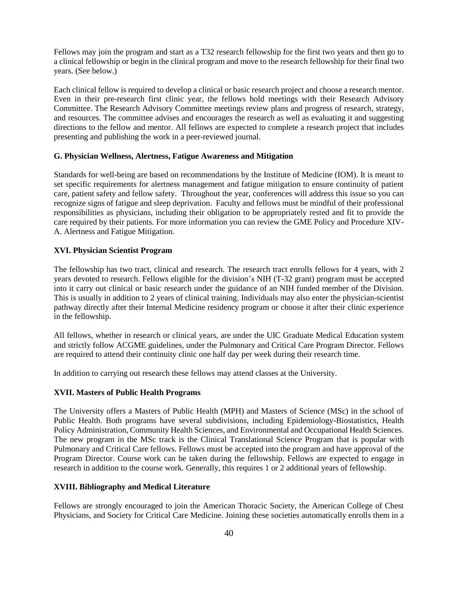Fellows may join the program and start as a T32 research fellowship for the first two years and then go to a clinical fellowship or begin in the clinical program and move to the research fellowship for their final two years. (See below.)

Each clinical fellow is required to develop a clinical or basic research project and choose a research mentor. Even in their pre-research first clinic year, the fellows hold meetings with their Research Advisory Committee. The Research Advisory Committee meetings review plans and progress of research, strategy, and resources. The committee advises and encourages the research as well as evaluating it and suggesting directions to the fellow and mentor. All fellows are expected to complete a research project that includes presenting and publishing the work in a peer-reviewed journal.

## **G. Physician Wellness, Alertness, Fatigue Awareness and Mitigation**

Standards for well-being are based on recommendations by the Institute of Medicine (IOM). It is meant to set specific requirements for alertness management and fatigue mitigation to ensure continuity of patient care, patient safety and fellow safety. Throughout the year, conferences will address this issue so you can recognize signs of fatigue and sleep deprivation. Faculty and fellows must be mindful of their professional responsibilities as physicians, including their obligation to be appropriately rested and fit to provide the care required by their patients. For more information you can review the GME Policy and Procedure XIV-A. Alertness and Fatigue Mitigation.

## **XVI. Physician Scientist Program**

The fellowship has two tract, clinical and research. The research tract enrolls fellows for 4 years, with 2 years devoted to research. Fellows eligible for the division's NIH (T-32 grant) program must be accepted into it carry out clinical or basic research under the guidance of an NIH funded member of the Division. This is usually in addition to 2 years of clinical training. Individuals may also enter the physician-scientist pathway directly after their Internal Medicine residency program or choose it after their clinic experience in the fellowship.

All fellows, whether in research or clinical years, are under the UIC Graduate Medical Education system and strictly follow ACGME guidelines, under the Pulmonary and Critical Care Program Director. Fellows are required to attend their continuity clinic one half day per week during their research time.

In addition to carrying out research these fellows may attend classes at the University.

#### **XVII. Masters of Public Health Programs**

The University offers a Masters of Public Health (MPH) and Masters of Science (MSc) in the school of Public Health. Both programs have several subdivisions, including Epidemiology-Biostatistics, Health Policy Administration, Community Health Sciences, and Environmental and Occupational Health Sciences. The new program in the MSc track is the Clinical Translational Science Program that is popular with Pulmonary and Critical Care fellows. Fellows must be accepted into the program and have approval of the Program Director. Course work can be taken during the fellowship. Fellows are expected to engage in research in addition to the course work. Generally, this requires 1 or 2 additional years of fellowship.

#### **XVIII. Bibliography and Medical Literature**

Fellows are strongly encouraged to join the American Thoracic Society, the American College of Chest Physicians, and Society for Critical Care Medicine. Joining these societies automatically enrolls them in a